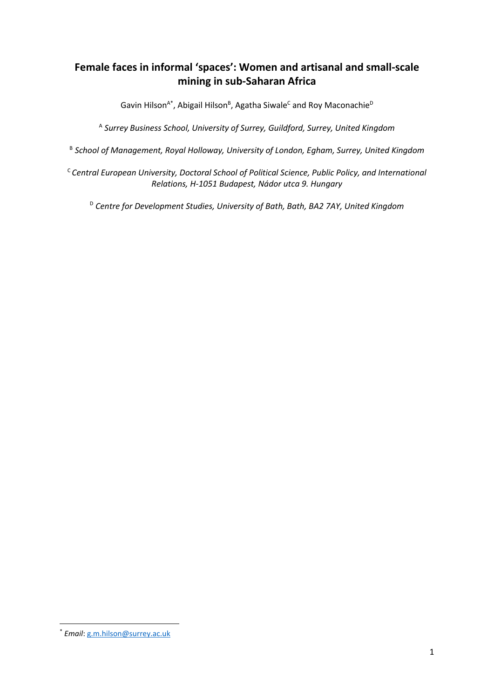# **Female faces in informal 'spaces': Women and artisanal and small-scale mining in sub-Saharan Africa**

Gavin Hilson<sup>A\*</sup>, Abigail Hilson<sup>B</sup>, Agatha Siwale<sup>c</sup> and Roy Maconachie<sup>D</sup>

A *Surrey Business School, University of Surrey, Guildford, Surrey, United Kingdom*

<sup>B</sup> School of Management, Royal Holloway, University of London, Egham, Surrey, United Kingdom

<sup>C</sup>*Central European University, Doctoral School of Political Science, Public Policy, and International Relations, H-1051 Budapest, Nádor utca 9. Hungary*

<sup>D</sup> *Centre for Development Studies, University of Bath, Bath, BA2 7AY, United Kingdom*

<sup>\*</sup> *Email*: [g.m.hilson@surrey.ac.uk](mailto:g.m.hilson@surrey.ac.uk)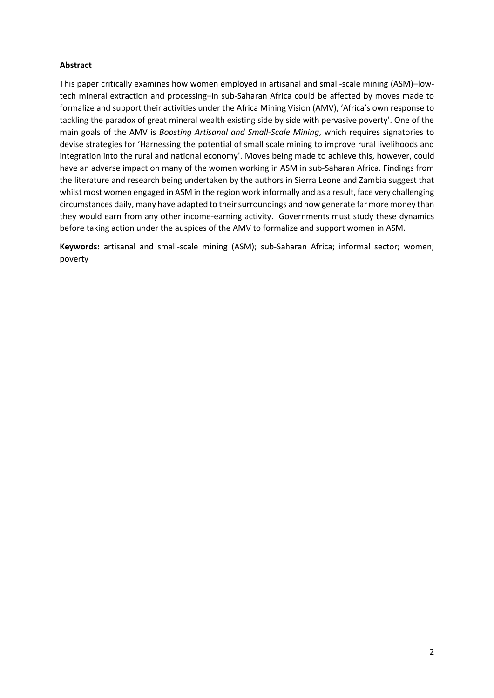### **Abstract**

This paper critically examines how women employed in artisanal and small-scale mining (ASM)–lowtech mineral extraction and processing–in sub-Saharan Africa could be affected by moves made to formalize and support their activities under the Africa Mining Vision (AMV), 'Africa's own response to tackling the paradox of great mineral wealth existing side by side with pervasive poverty'. One of the main goals of the AMV is *Boosting Artisanal and Small-Scale Mining*, which requires signatories to devise strategies for 'Harnessing the potential of small scale mining to improve rural livelihoods and integration into the rural and national economy'. Moves being made to achieve this, however, could have an adverse impact on many of the women working in ASM in sub-Saharan Africa. Findings from the literature and research being undertaken by the authors in Sierra Leone and Zambia suggest that whilst most women engaged in ASM in the region work informally and as a result, face very challenging circumstances daily, many have adapted to their surroundings and now generate far more money than they would earn from any other income-earning activity. Governments must study these dynamics before taking action under the auspices of the AMV to formalize and support women in ASM.

**Keywords:** artisanal and small-scale mining (ASM); sub-Saharan Africa; informal sector; women; poverty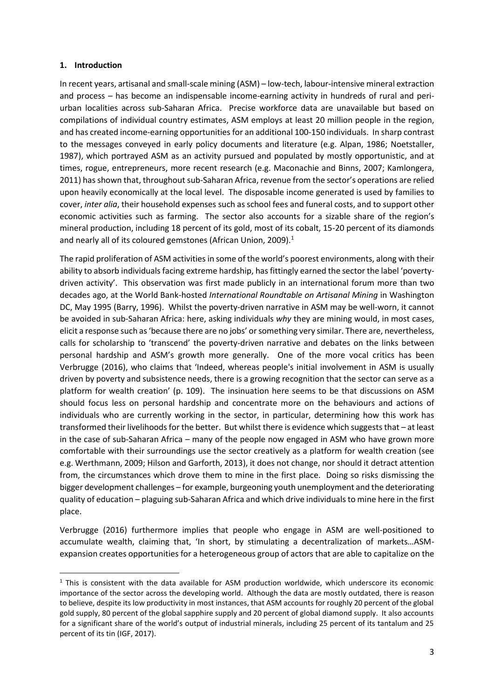### **1. Introduction**

In recent years, artisanal and small-scale mining (ASM) – low-tech, labour-intensive mineral extraction and process – has become an indispensable income-earning activity in hundreds of rural and periurban localities across sub-Saharan Africa. Precise workforce data are unavailable but based on compilations of individual country estimates, ASM employs at least 20 million people in the region, and has created income-earning opportunities for an additional 100-150 individuals. In sharp contrast to the messages conveyed in early policy documents and literature (e.g. Alpan, 1986; Noetstaller, 1987), which portrayed ASM as an activity pursued and populated by mostly opportunistic, and at times, rogue, entrepreneurs, more recent research (e.g. Maconachie and Binns, 2007; Kamlongera, 2011) has shown that, throughout sub-Saharan Africa, revenue from the sector's operations are relied upon heavily economically at the local level. The disposable income generated is used by families to cover, *inter alia*, their household expenses such as school fees and funeral costs, and to support other economic activities such as farming. The sector also accounts for a sizable share of the region's mineral production, including 18 percent of its gold, most of its cobalt, 15-20 percent of its diamonds and nearly all of its coloured gemstones (African Union, 2009).<sup>1</sup>

The rapid proliferation of ASM activities in some of the world's poorest environments, along with their ability to absorb individuals facing extreme hardship, has fittingly earned the sector the label 'povertydriven activity'. This observation was first made publicly in an international forum more than two decades ago, at the World Bank-hosted *International Roundtable on Artisanal Mining* in Washington DC, May 1995 (Barry, 1996). Whilst the poverty-driven narrative in ASM may be well-worn, it cannot be avoided in sub-Saharan Africa: here, asking individuals *why* they are mining would, in most cases, elicit a response such as 'because there are no jobs' or something very similar. There are, nevertheless, calls for scholarship to 'transcend' the poverty-driven narrative and debates on the links between personal hardship and ASM's growth more generally. One of the more vocal critics has been Verbrugge (2016), who claims that 'Indeed, whereas people's initial involvement in ASM is usually driven by poverty and subsistence needs, there is a growing recognition that the sector can serve as a platform for wealth creation' (p. 109). The insinuation here seems to be that discussions on ASM should focus less on personal hardship and concentrate more on the behaviours and actions of individuals who are currently working in the sector, in particular, determining how this work has transformed their livelihoods for the better. But whilst there is evidence which suggests that – at least in the case of sub-Saharan Africa – many of the people now engaged in ASM who have grown more comfortable with their surroundings use the sector creatively as a platform for wealth creation (see e.g. Werthmann, 2009; Hilson and Garforth, 2013), it does not change, nor should it detract attention from, the circumstances which drove them to mine in the first place. Doing so risks dismissing the bigger development challenges – for example, burgeoning youth unemployment and the deteriorating quality of education – plaguing sub-Saharan Africa and which drive individuals to mine here in the first place.

Verbrugge (2016) furthermore implies that people who engage in ASM are well-positioned to accumulate wealth, claiming that, 'In short, by stimulating a decentralization of markets…ASMexpansion creates opportunities for a heterogeneous group of actors that are able to capitalize on the

<sup>&</sup>lt;sup>1</sup> This is consistent with the data available for ASM production worldwide, which underscore its economic importance of the sector across the developing world. Although the data are mostly outdated, there is reason to believe, despite its low productivity in most instances, that ASM accounts for roughly 20 percent of the global gold supply, 80 percent of the global sapphire supply and 20 percent of global diamond supply. It also accounts for a significant share of the world's output of industrial minerals, including 25 percent of its tantalum and 25 percent of its tin (IGF, 2017).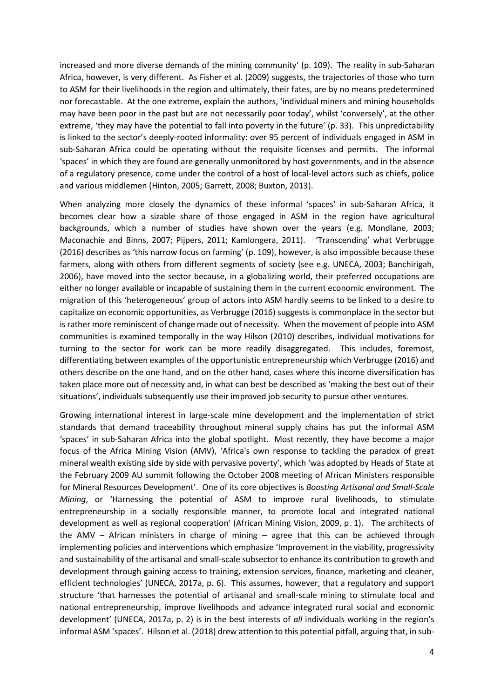increased and more diverse demands of the mining community' (p. 109). The reality in sub-Saharan Africa, however, is very different. As Fisher et al. (2009) suggests, the trajectories of those who turn to ASM for their livelihoods in the region and ultimately, their fates, are by no means predetermined nor forecastable. At the one extreme, explain the authors, 'individual miners and mining households may have been poor in the past but are not necessarily poor today', whilst 'conversely', at the other extreme, 'they may have the potential to fall into poverty in the future' (p. 33). This unpredictability is linked to the sector's deeply-rooted informality: over 95 percent of individuals engaged in ASM in sub-Saharan Africa could be operating without the requisite licenses and permits. The informal 'spaces' in which they are found are generally unmonitored by host governments, and in the absence of a regulatory presence, come under the control of a host of local-level actors such as chiefs, police and various middlemen (Hinton, 2005; Garrett, 2008; Buxton, 2013).

When analyzing more closely the dynamics of these informal 'spaces' in sub-Saharan Africa, it becomes clear how a sizable share of those engaged in ASM in the region have agricultural backgrounds, which a number of studies have shown over the years (e.g. Mondlane, 2003; Maconachie and Binns, 2007; Pijpers, 2011; Kamlongera, 2011). 'Transcending' what Verbrugge (2016) describes as 'this narrow focus on farming' (p. 109), however, is also impossible because these farmers, along with others from different segments of society (see e.g. UNECA, 2003; Banchirigah, 2006), have moved into the sector because, in a globalizing world, their preferred occupations are either no longer available or incapable of sustaining them in the current economic environment. The migration of this 'heterogeneous' group of actors into ASM hardly seems to be linked to a desire to capitalize on economic opportunities, as Verbrugge (2016) suggests is commonplace in the sector but is rather more reminiscent of change made out of necessity. When the movement of people into ASM communities is examined temporally in the way Hilson (2010) describes, individual motivations for turning to the sector for work can be more readily disaggregated. This includes, foremost, differentiating between examples of the opportunistic entrepreneurship which Verbrugge (2016) and others describe on the one hand, and on the other hand, cases where this income diversification has taken place more out of necessity and, in what can best be described as 'making the best out of their situations', individuals subsequently use their improved job security to pursue other ventures.

Growing international interest in large-scale mine development and the implementation of strict standards that demand traceability throughout mineral supply chains has put the informal ASM 'spaces' in sub-Saharan Africa into the global spotlight. Most recently, they have become a major focus of the Africa Mining Vision (AMV), 'Africa's own response to tackling the paradox of great mineral wealth existing side by side with pervasive poverty', which 'was adopted by Heads of State at the February 2009 AU summit following the October 2008 meeting of African Ministers responsible for Mineral Resources Development'. One of its core objectives is *Boosting Artisanal and Small-Scale Mining*, or 'Harnessing the potential of ASM to improve rural livelihoods, to stimulate entrepreneurship in a socially responsible manner, to promote local and integrated national development as well as regional cooperation' (African Mining Vision, 2009, p. 1). The architects of the AMV – African ministers in charge of mining – agree that this can be achieved through implementing policies and interventions which emphasize 'Improvement in the viability, progressivity and sustainability of the artisanal and small-scale subsector to enhance its contribution to growth and development through gaining access to training, extension services, finance, marketing and cleaner, efficient technologies' (UNECA, 2017a, p. 6). This assumes, however, that a regulatory and support structure 'that harnesses the potential of artisanal and small-scale mining to stimulate local and national entrepreneurship, improve livelihoods and advance integrated rural social and economic development' (UNECA, 2017a, p. 2) is in the best interests of *all* individuals working in the region's informal ASM 'spaces'. Hilson et al. (2018) drew attention to this potential pitfall, arguing that, in sub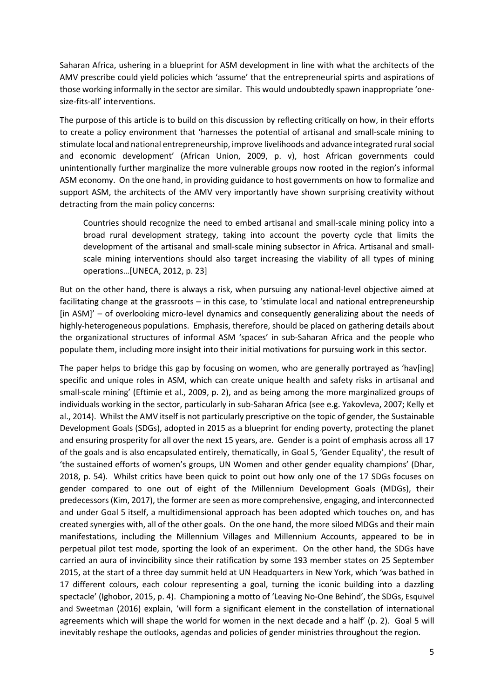Saharan Africa, ushering in a blueprint for ASM development in line with what the architects of the AMV prescribe could yield policies which 'assume' that the entrepreneurial spirts and aspirations of those working informally in the sector are similar. This would undoubtedly spawn inappropriate 'onesize-fits-all' interventions.

The purpose of this article is to build on this discussion by reflecting critically on how, in their efforts to create a policy environment that 'harnesses the potential of artisanal and small-scale mining to stimulate local and national entrepreneurship, improve livelihoods and advance integrated rural social and economic development' (African Union, 2009, p. v), host African governments could unintentionally further marginalize the more vulnerable groups now rooted in the region's informal ASM economy. On the one hand, in providing guidance to host governments on how to formalize and support ASM, the architects of the AMV very importantly have shown surprising creativity without detracting from the main policy concerns:

Countries should recognize the need to embed artisanal and small-scale mining policy into a broad rural development strategy, taking into account the poverty cycle that limits the development of the artisanal and small-scale mining subsector in Africa. Artisanal and smallscale mining interventions should also target increasing the viability of all types of mining operations…[UNECA, 2012, p. 23]

But on the other hand, there is always a risk, when pursuing any national-level objective aimed at facilitating change at the grassroots – in this case, to 'stimulate local and national entrepreneurship [in ASM]' – of overlooking micro-level dynamics and consequently generalizing about the needs of highly-heterogeneous populations. Emphasis, therefore, should be placed on gathering details about the organizational structures of informal ASM 'spaces' in sub-Saharan Africa and the people who populate them, including more insight into their initial motivations for pursuing work in this sector.

The paper helps to bridge this gap by focusing on women, who are generally portrayed as 'hav[ing] specific and unique roles in ASM, which can create unique health and safety risks in artisanal and small-scale mining' (Eftimie et al., 2009, p. 2), and as being among the more marginalized groups of individuals working in the sector, particularly in sub-Saharan Africa (see e.g. Yakovleva, 2007; Kelly et al., 2014). Whilst the AMV itself is not particularly prescriptive on the topic of gender, the Sustainable Development Goals (SDGs), adopted in 2015 as a blueprint for ending poverty, protecting the planet and ensuring prosperity for all over the next 15 years, are. Gender is a point of emphasis across all 17 of the goals and is also encapsulated entirely, thematically, in Goal 5, 'Gender Equality', the result of 'the sustained efforts of women's groups, UN Women and other gender equality champions' (Dhar, 2018, p. 54). Whilst critics have been quick to point out how only one of the 17 SDGs focuses on gender compared to one out of eight of the Millennium Development Goals (MDGs), their predecessors(Kim, 2017), the former are seen as more comprehensive, engaging, and interconnected and under Goal 5 itself, a multidimensional approach has been adopted which touches on, and has created synergies with, all of the other goals. On the one hand, the more siloed MDGs and their main manifestations, including the Millennium Villages and Millennium Accounts, appeared to be in perpetual pilot test mode, sporting the look of an experiment. On the other hand, the SDGs have carried an aura of invincibility since their ratification by some 193 member states on 25 September 2015, at the start of a three day summit held at UN Headquarters in New York, which 'was bathed in 17 different colours, each colour representing a goal, turning the iconic building into a dazzling spectacle' (Ighobor, 2015, p. 4). Championing a motto of 'Leaving No-One Behind', the SDGs, Esquivel and Sweetman (2016) explain, 'will form a significant element in the constellation of international agreements which will shape the world for women in the next decade and a half' (p. 2). Goal 5 will inevitably reshape the outlooks, agendas and policies of gender ministries throughout the region.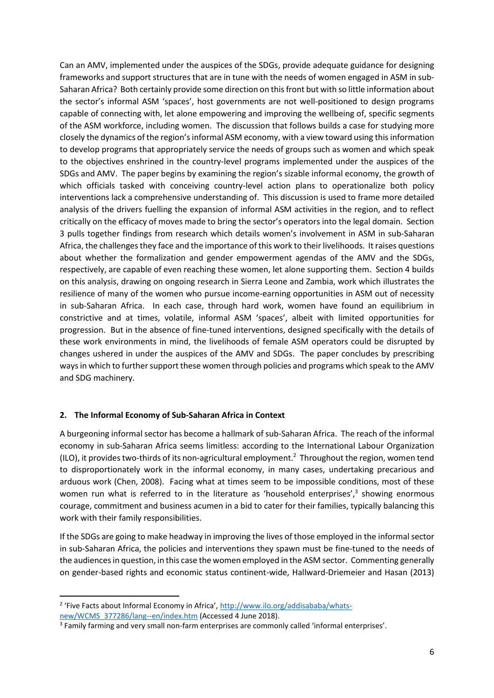Can an AMV, implemented under the auspices of the SDGs, provide adequate guidance for designing frameworks and support structures that are in tune with the needs of women engaged in ASM in sub-Saharan Africa? Both certainly provide some direction on this front but with so little information about the sector's informal ASM 'spaces', host governments are not well-positioned to design programs capable of connecting with, let alone empowering and improving the wellbeing of, specific segments of the ASM workforce, including women. The discussion that follows builds a case for studying more closely the dynamics of the region's informal ASM economy, with a view toward using this information to develop programs that appropriately service the needs of groups such as women and which speak to the objectives enshrined in the country-level programs implemented under the auspices of the SDGs and AMV. The paper begins by examining the region's sizable informal economy, the growth of which officials tasked with conceiving country-level action plans to operationalize both policy interventions lack a comprehensive understanding of. This discussion is used to frame more detailed analysis of the drivers fuelling the expansion of informal ASM activities in the region, and to reflect critically on the efficacy of moves made to bring the sector's operators into the legal domain. Section 3 pulls together findings from research which details women's involvement in ASM in sub-Saharan Africa, the challenges they face and the importance of this work to their livelihoods. It raises questions about whether the formalization and gender empowerment agendas of the AMV and the SDGs, respectively, are capable of even reaching these women, let alone supporting them. Section 4 builds on this analysis, drawing on ongoing research in Sierra Leone and Zambia, work which illustrates the resilience of many of the women who pursue income-earning opportunities in ASM out of necessity in sub-Saharan Africa. In each case, through hard work, women have found an equilibrium in constrictive and at times, volatile, informal ASM 'spaces', albeit with limited opportunities for progression. But in the absence of fine-tuned interventions, designed specifically with the details of these work environments in mind, the livelihoods of female ASM operators could be disrupted by changes ushered in under the auspices of the AMV and SDGs. The paper concludes by prescribing ways in which to further support these women through policies and programs which speak to the AMV and SDG machinery.

# **2. The Informal Economy of Sub-Saharan Africa in Context**

A burgeoning informal sector has become a hallmark of sub-Saharan Africa. The reach of the informal economy in sub-Saharan Africa seems limitless: according to the International Labour Organization  $(ILO)$ , it provides two-thirds of its non-agricultural employment.<sup>2</sup> Throughout the region, women tend to disproportionately work in the informal economy, in many cases, undertaking precarious and arduous work (Chen, 2008). Facing what at times seem to be impossible conditions, most of these women run what is referred to in the literature as 'household enterprises',<sup>3</sup> showing enormous courage, commitment and business acumen in a bid to cater for their families, typically balancing this work with their family responsibilities.

If the SDGs are going to make headway in improving the lives of those employed in the informal sector in sub-Saharan Africa, the policies and interventions they spawn must be fine-tuned to the needs of the audiencesin question, in this case the women employed in the ASM sector. Commenting generally on gender-based rights and economic status continent-wide, Hallward-Driemeier and Hasan (2013)

<sup>&</sup>lt;sup>2</sup> 'Five Facts about Informal Economy in Africa', [http://www.ilo.org/addisababa/whats](http://www.ilo.org/addisababa/whats-new/WCMS_377286/lang--en/index.htm)new/WCMS 377286/lang--en/index.htm (Accessed 4 June 2018).

<sup>&</sup>lt;sup>3</sup> Family farming and very small non-farm enterprises are commonly called 'informal enterprises'.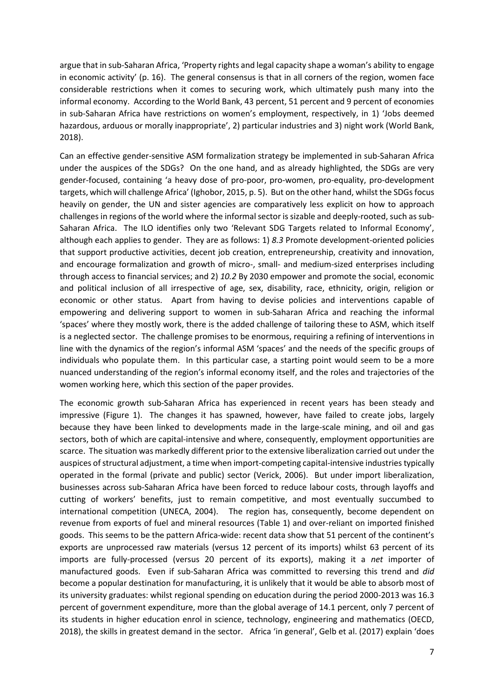argue that in sub-Saharan Africa, 'Property rights and legal capacity shape a woman's ability to engage in economic activity' (p. 16). The general consensus is that in all corners of the region, women face considerable restrictions when it comes to securing work, which ultimately push many into the informal economy. According to the World Bank, 43 percent, 51 percent and 9 percent of economies in sub-Saharan Africa have restrictions on women's employment, respectively, in 1) 'Jobs deemed hazardous, arduous or morally inappropriate', 2) particular industries and 3) night work (World Bank, 2018).

Can an effective gender-sensitive ASM formalization strategy be implemented in sub-Saharan Africa under the auspices of the SDGs? On the one hand, and as already highlighted, the SDGs are very gender-focused, containing 'a heavy dose of pro-poor, pro-women, pro-equality, pro-development targets, which will challenge Africa' (Ighobor, 2015, p. 5). But on the other hand, whilst the SDGs focus heavily on gender, the UN and sister agencies are comparatively less explicit on how to approach challenges in regions of the world where the informal sector is sizable and deeply-rooted, such as sub-Saharan Africa. The ILO identifies only two 'Relevant SDG Targets related to Informal Economy', although each applies to gender. They are as follows: 1) *8.3* Promote development-oriented policies that support productive activities, decent job creation, entrepreneurship, creativity and innovation, and encourage formalization and growth of micro-, small- and medium-sized enterprises including through access to financial services; and 2) *10.2* By 2030 empower and promote the social, economic and political inclusion of all irrespective of age, sex, disability, race, ethnicity, origin, religion or economic or other status. Apart from having to devise policies and interventions capable of empowering and delivering support to women in sub-Saharan Africa and reaching the informal 'spaces' where they mostly work, there is the added challenge of tailoring these to ASM, which itself is a neglected sector. The challenge promises to be enormous, requiring a refining of interventions in line with the dynamics of the region's informal ASM 'spaces' and the needs of the specific groups of individuals who populate them. In this particular case, a starting point would seem to be a more nuanced understanding of the region's informal economy itself, and the roles and trajectories of the women working here, which this section of the paper provides.

The economic growth sub-Saharan Africa has experienced in recent years has been steady and impressive (Figure 1). The changes it has spawned, however, have failed to create jobs, largely because they have been linked to developments made in the large-scale mining, and oil and gas sectors, both of which are capital-intensive and where, consequently, employment opportunities are scarce. The situation was markedly different prior to the extensive liberalization carried out under the auspices of structural adjustment, a time when import-competing capital-intensive industries typically operated in the formal (private and public) sector (Verick, 2006). But under import liberalization, businesses across sub-Saharan Africa have been forced to reduce labour costs, through layoffs and cutting of workers' benefits, just to remain competitive, and most eventually succumbed to international competition (UNECA, 2004). The region has, consequently, become dependent on revenue from exports of fuel and mineral resources (Table 1) and over-reliant on imported finished goods. This seems to be the pattern Africa-wide: recent data show that 51 percent of the continent's exports are unprocessed raw materials (versus 12 percent of its imports) whilst 63 percent of its imports are fully-processed (versus 20 percent of its exports), making it a *net* importer of manufactured goods. Even if sub-Saharan Africa was committed to reversing this trend and *did*  become a popular destination for manufacturing, it is unlikely that it would be able to absorb most of its university graduates: whilst regional spending on education during the period 2000-2013 was 16.3 percent of government expenditure, more than the global average of 14.1 percent, only 7 percent of its students in higher education enrol in science, technology, engineering and mathematics (OECD, 2018), the skills in greatest demand in the sector. Africa 'in general', Gelb et al. (2017) explain 'does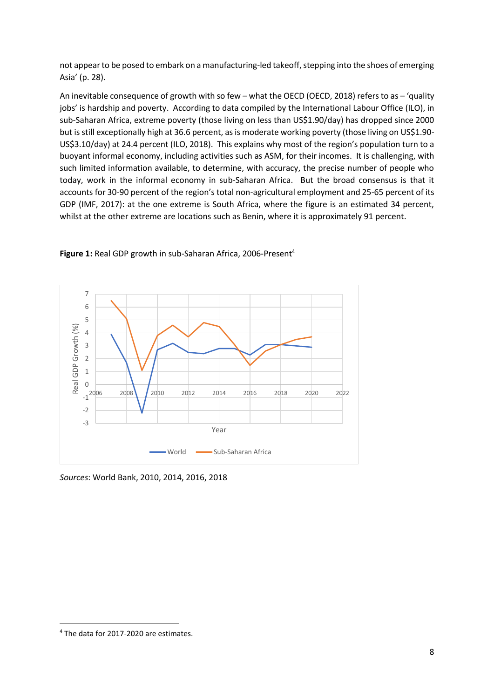not appear to be posed to embark on a manufacturing-led takeoff, stepping into the shoes of emerging Asia' (p. 28).

An inevitable consequence of growth with so few – what the OECD (OECD, 2018) refers to as – 'quality jobs' is hardship and poverty. According to data compiled by the International Labour Office (ILO), in sub-Saharan Africa, extreme poverty (those living on less than US\$1.90/day) has dropped since 2000 but is still exceptionally high at 36.6 percent, as is moderate working poverty (those living on US\$1.90- US\$3.10/day) at 24.4 percent (ILO, 2018). This explains why most of the region's population turn to a buoyant informal economy, including activities such as ASM, for their incomes. It is challenging, with such limited information available, to determine, with accuracy, the precise number of people who today, work in the informal economy in sub-Saharan Africa. But the broad consensus is that it accounts for 30-90 percent of the region's total non-agricultural employment and 25-65 percent of its GDP (IMF, 2017): at the one extreme is South Africa, where the figure is an estimated 34 percent, whilst at the other extreme are locations such as Benin, where it is approximately 91 percent.



Figure 1: Real GDP growth in sub-Saharan Africa, 2006-Present<sup>4</sup>

*Sources*: World Bank, 2010, 2014, 2016, 2018

<sup>4</sup> The data for 2017-2020 are estimates.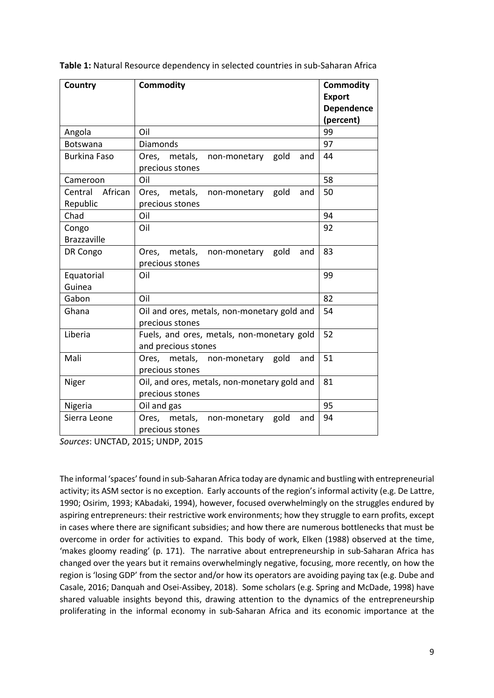| Country             | <b>Commodity</b>                                | <b>Commodity</b> |
|---------------------|-------------------------------------------------|------------------|
|                     |                                                 | <b>Export</b>    |
|                     |                                                 | Dependence       |
|                     |                                                 | (percent)        |
| Angola              | Oil                                             | 99               |
| <b>Botswana</b>     | Diamonds                                        | 97               |
| <b>Burkina Faso</b> | Ores,<br>metals,<br>gold<br>non-monetary<br>and | 44               |
|                     | precious stones                                 |                  |
| Cameroon            | Oil                                             | 58               |
| Central African     | Ores, metals,<br>gold<br>non-monetary<br>and    | 50               |
| Republic            | precious stones                                 |                  |
| Chad                | Oil                                             | 94               |
| Congo               | Oil                                             | 92               |
| <b>Brazzaville</b>  |                                                 |                  |
| DR Congo            | Ores, metals,<br>gold<br>non-monetary<br>and    | 83               |
|                     | precious stones                                 |                  |
| Equatorial          | Oil                                             | 99               |
| Guinea              |                                                 |                  |
| Gabon               | Oil                                             | 82               |
| Ghana               | Oil and ores, metals, non-monetary gold and     | 54               |
|                     | precious stones                                 |                  |
| Liberia             | Fuels, and ores, metals, non-monetary gold      | 52               |
|                     | and precious stones                             |                  |
| Mali                | Ores, metals, non-monetary gold<br>and          | 51               |
|                     | precious stones                                 |                  |
| Niger               | Oil, and ores, metals, non-monetary gold and    | 81               |
|                     | precious stones                                 |                  |
| Nigeria             | Oil and gas                                     | 95               |
| Sierra Leone        | Ores, metals,<br>gold<br>non-monetary<br>and    | 94               |
|                     | precious stones                                 |                  |

**Table 1:** Natural Resource dependency in selected countries in sub-Saharan Africa

*Sources*: UNCTAD, 2015; UNDP, 2015

The informal 'spaces' found in sub-Saharan Africa today are dynamic and bustling with entrepreneurial activity; its ASM sector is no exception. Early accounts of the region's informal activity (e.g. De Lattre, 1990; Osirim, 1993; KAbadaki, 1994), however, focused overwhelmingly on the struggles endured by aspiring entrepreneurs: their restrictive work environments; how they struggle to earn profits, except in cases where there are significant subsidies; and how there are numerous bottlenecks that must be overcome in order for activities to expand. This body of work, Elken (1988) observed at the time, 'makes gloomy reading' (p. 171). The narrative about entrepreneurship in sub-Saharan Africa has changed over the years but it remains overwhelmingly negative, focusing, more recently, on how the region is 'losing GDP' from the sector and/or how its operators are avoiding paying tax (e.g. Dube and Casale, 2016; Danquah and Osei-Assibey, 2018). Some scholars (e.g. Spring and McDade, 1998) have shared valuable insights beyond this, drawing attention to the dynamics of the entrepreneurship proliferating in the informal economy in sub-Saharan Africa and its economic importance at the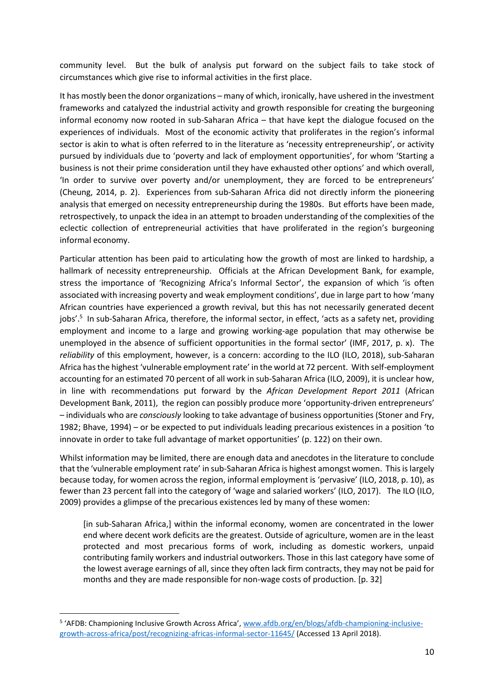community level. But the bulk of analysis put forward on the subject fails to take stock of circumstances which give rise to informal activities in the first place.

It has mostly been the donor organizations – many of which, ironically, have ushered in the investment frameworks and catalyzed the industrial activity and growth responsible for creating the burgeoning informal economy now rooted in sub-Saharan Africa – that have kept the dialogue focused on the experiences of individuals. Most of the economic activity that proliferates in the region's informal sector is akin to what is often referred to in the literature as 'necessity entrepreneurship', or activity pursued by individuals due to 'poverty and lack of employment opportunities', for whom 'Starting a business is not their prime consideration until they have exhausted other options' and which overall, 'In order to survive over poverty and/or unemployment, they are forced to be entrepreneurs' (Cheung, 2014, p. 2). Experiences from sub-Saharan Africa did not directly inform the pioneering analysis that emerged on necessity entrepreneurship during the 1980s. But efforts have been made, retrospectively, to unpack the idea in an attempt to broaden understanding of the complexities of the eclectic collection of entrepreneurial activities that have proliferated in the region's burgeoning informal economy.

Particular attention has been paid to articulating how the growth of most are linked to hardship, a hallmark of necessity entrepreneurship. Officials at the African Development Bank, for example, stress the importance of 'Recognizing Africa's Informal Sector', the expansion of which 'is often associated with increasing poverty and weak employment conditions', due in large part to how 'many African countries have experienced a growth revival, but this has not necessarily generated decent jobs'. 5 In sub-Saharan Africa, therefore, the informal sector, in effect, 'acts as a safety net, providing employment and income to a large and growing working-age population that may otherwise be unemployed in the absence of sufficient opportunities in the formal sector' (IMF, 2017, p. x). The *reliability* of this employment, however, is a concern: according to the ILO (ILO, 2018), sub-Saharan Africa has the highest 'vulnerable employment rate' in the world at 72 percent. With self-employment accounting for an estimated 70 percent of all work in sub-Saharan Africa (ILO, 2009), it is unclear how, in line with recommendations put forward by the *African Development Report 2011* (African Development Bank, 2011), the region can possibly produce more 'opportunity-driven entrepreneurs' – individuals who are *consciously* looking to take advantage of business opportunities (Stoner and Fry, 1982; Bhave, 1994) – or be expected to put individuals leading precarious existences in a position 'to innovate in order to take full advantage of market opportunities' (p. 122) on their own.

Whilst information may be limited, there are enough data and anecdotes in the literature to conclude that the 'vulnerable employment rate' in sub-Saharan Africa is highest amongst women. This is largely because today, for women across the region, informal employment is 'pervasive' (ILO, 2018, p. 10), as fewer than 23 percent fall into the category of 'wage and salaried workers' (ILO, 2017). The ILO (ILO, 2009) provides a glimpse of the precarious existences led by many of these women:

[in sub-Saharan Africa,] within the informal economy, women are concentrated in the lower end where decent work deficits are the greatest. Outside of agriculture, women are in the least protected and most precarious forms of work, including as domestic workers, unpaid contributing family workers and industrial outworkers. Those in this last category have some of the lowest average earnings of all, since they often lack firm contracts, they may not be paid for months and they are made responsible for non-wage costs of production. [p. 32]

<sup>&</sup>lt;sup>5</sup> 'AFDB: Championing Inclusive Growth Across Africa', www.afdb.org/en/blogs/afdb-championing-inclusivegrowth-across-africa/post/recognizing-africas-informal-sector-11645/ (Accessed 13 April 2018).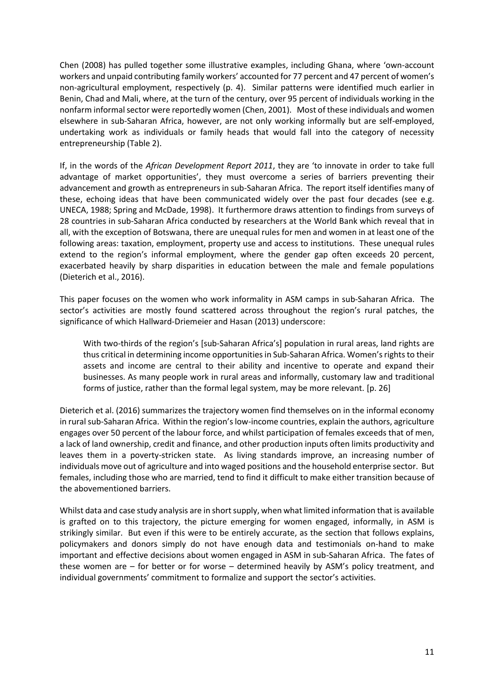Chen (2008) has pulled together some illustrative examples, including Ghana, where 'own-account workers and unpaid contributing family workers' accounted for 77 percent and 47 percent of women's non-agricultural employment, respectively (p. 4). Similar patterns were identified much earlier in Benin, Chad and Mali, where, at the turn of the century, over 95 percent of individuals working in the nonfarm informal sector were reportedly women (Chen, 2001). Most of these individuals and women elsewhere in sub-Saharan Africa, however, are not only working informally but are self-employed, undertaking work as individuals or family heads that would fall into the category of necessity entrepreneurship (Table 2).

If, in the words of the *African Development Report 2011*, they are 'to innovate in order to take full advantage of market opportunities', they must overcome a series of barriers preventing their advancement and growth as entrepreneurs in sub-Saharan Africa. The report itself identifies many of these, echoing ideas that have been communicated widely over the past four decades (see e.g. UNECA, 1988; Spring and McDade, 1998). It furthermore draws attention to findings from surveys of 28 countries in sub-Saharan Africa conducted by researchers at the World Bank which reveal that in all, with the exception of Botswana, there are unequal rules for men and women in at least one of the following areas: taxation, employment, property use and access to institutions. These unequal rules extend to the region's informal employment, where the gender gap often exceeds 20 percent, exacerbated heavily by sharp disparities in education between the male and female populations (Dieterich et al., 2016).

This paper focuses on the women who work informality in ASM camps in sub-Saharan Africa. The sector's activities are mostly found scattered across throughout the region's rural patches, the significance of which Hallward-Driemeier and Hasan (2013) underscore:

With two-thirds of the region's [sub-Saharan Africa's] population in rural areas, land rights are thus critical in determining income opportunities in Sub-Saharan Africa. Women's rights to their assets and income are central to their ability and incentive to operate and expand their businesses. As many people work in rural areas and informally, customary law and traditional forms of justice, rather than the formal legal system, may be more relevant. [p. 26]

Dieterich et al. (2016) summarizes the trajectory women find themselves on in the informal economy in rural sub-Saharan Africa. Within the region's low-income countries, explain the authors, agriculture engages over 50 percent of the labour force, and whilst participation of females exceeds that of men, a lack of land ownership, credit and finance, and other production inputs often limits productivity and leaves them in a poverty-stricken state. As living standards improve, an increasing number of individuals move out of agriculture and into waged positions and the household enterprise sector. But females, including those who are married, tend to find it difficult to make either transition because of the abovementioned barriers.

Whilst data and case study analysis are in short supply, when what limited information that is available is grafted on to this trajectory, the picture emerging for women engaged, informally, in ASM is strikingly similar. But even if this were to be entirely accurate, as the section that follows explains, policymakers and donors simply do not have enough data and testimonials on-hand to make important and effective decisions about women engaged in ASM in sub-Saharan Africa. The fates of these women are – for better or for worse – determined heavily by ASM's policy treatment, and individual governments' commitment to formalize and support the sector's activities.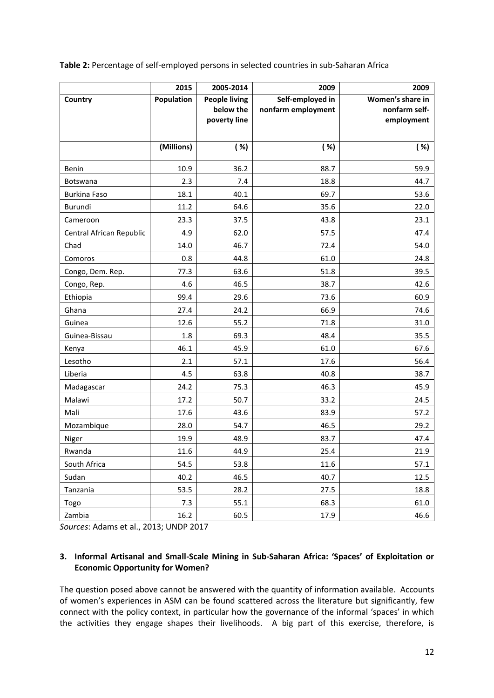**Table 2:** Percentage of self-employed persons in selected countries in sub-Saharan Africa

|                          | 2015       | 2005-2014                                         | 2009                                   | 2009                                            |
|--------------------------|------------|---------------------------------------------------|----------------------------------------|-------------------------------------------------|
| Country                  | Population | <b>People living</b><br>below the<br>poverty line | Self-employed in<br>nonfarm employment | Women's share in<br>nonfarm self-<br>employment |
|                          | (Millions) | ( %)                                              | ( %)                                   | ( %)                                            |
| Benin                    | 10.9       | 36.2                                              | 88.7                                   | 59.9                                            |
| Botswana                 | 2.3        | 7.4                                               | 18.8                                   | 44.7                                            |
| <b>Burkina Faso</b>      | 18.1       | 40.1                                              | 69.7                                   | 53.6                                            |
| Burundi                  | 11.2       | 64.6                                              | 35.6                                   | 22.0                                            |
| Cameroon                 | 23.3       | 37.5                                              | 43.8                                   | 23.1                                            |
| Central African Republic | 4.9        | 62.0                                              | 57.5                                   | 47.4                                            |
| Chad                     | 14.0       | 46.7                                              | 72.4                                   | 54.0                                            |
| Comoros                  | 0.8        | 44.8                                              | 61.0                                   | 24.8                                            |
| Congo, Dem. Rep.         | 77.3       | 63.6                                              | 51.8                                   | 39.5                                            |
| Congo, Rep.              | 4.6        | 46.5                                              | 38.7                                   | 42.6                                            |
| Ethiopia                 | 99.4       | 29.6                                              | 73.6                                   | 60.9                                            |
| Ghana                    | 27.4       | 24.2                                              | 66.9                                   | 74.6                                            |
| Guinea                   | 12.6       | 55.2                                              | 71.8                                   | 31.0                                            |
| Guinea-Bissau            | 1.8        | 69.3                                              | 48.4                                   | 35.5                                            |
| Kenya                    | 46.1       | 45.9                                              | 61.0                                   | 67.6                                            |
| Lesotho                  | 2.1        | 57.1                                              | 17.6                                   | 56.4                                            |
| Liberia                  | 4.5        | 63.8                                              | 40.8                                   | 38.7                                            |
| Madagascar               | 24.2       | 75.3                                              | 46.3                                   | 45.9                                            |
| Malawi                   | 17.2       | 50.7                                              | 33.2                                   | 24.5                                            |
| Mali                     | 17.6       | 43.6                                              | 83.9                                   | 57.2                                            |
| Mozambique               | 28.0       | 54.7                                              | 46.5                                   | 29.2                                            |
| Niger                    | 19.9       | 48.9                                              | 83.7                                   | 47.4                                            |
| Rwanda                   | 11.6       | 44.9                                              | 25.4                                   | 21.9                                            |
| South Africa             | 54.5       | 53.8                                              | 11.6                                   | 57.1                                            |
| Sudan                    | 40.2       | 46.5                                              | 40.7                                   | 12.5                                            |
| Tanzania                 | 53.5       | 28.2                                              | 27.5                                   | 18.8                                            |
| Togo                     | 7.3        | 55.1                                              | 68.3                                   | 61.0                                            |
| Zambia                   | 16.2       | 60.5                                              | 17.9                                   | 46.6                                            |

*Sources*: Adams et al., 2013; UNDP 2017

# **3. Informal Artisanal and Small-Scale Mining in Sub-Saharan Africa: 'Spaces' of Exploitation or Economic Opportunity for Women?**

The question posed above cannot be answered with the quantity of information available. Accounts of women's experiences in ASM can be found scattered across the literature but significantly, few connect with the policy context, in particular how the governance of the informal 'spaces' in which the activities they engage shapes their livelihoods. A big part of this exercise, therefore, is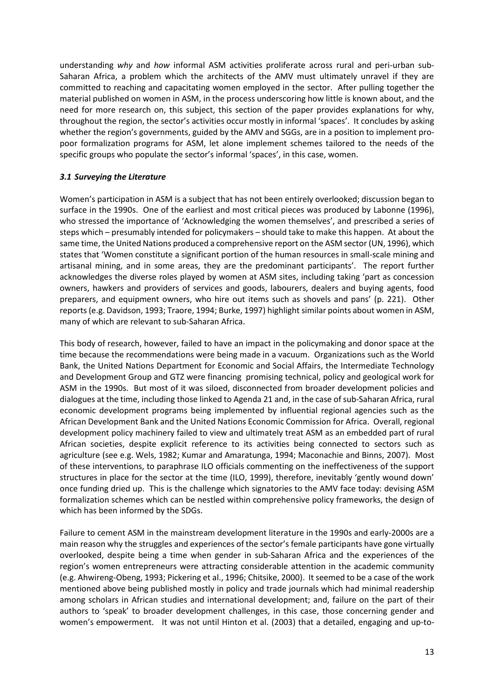understanding *why* and *how* informal ASM activities proliferate across rural and peri-urban sub-Saharan Africa, a problem which the architects of the AMV must ultimately unravel if they are committed to reaching and capacitating women employed in the sector. After pulling together the material published on women in ASM, in the process underscoring how little is known about, and the need for more research on, this subject, this section of the paper provides explanations for why, throughout the region, the sector's activities occur mostly in informal 'spaces'. It concludes by asking whether the region's governments, guided by the AMV and SGGs, are in a position to implement propoor formalization programs for ASM, let alone implement schemes tailored to the needs of the specific groups who populate the sector's informal 'spaces', in this case, women.

# *3.1 Surveying the Literature*

Women's participation in ASM is a subject that has not been entirely overlooked; discussion began to surface in the 1990s. One of the earliest and most critical pieces was produced by Labonne (1996), who stressed the importance of 'Acknowledging the women themselves', and prescribed a series of steps which – presumably intended for policymakers – should take to make this happen. At about the same time, the United Nations produced a comprehensive report on the ASM sector (UN, 1996), which states that 'Women constitute a significant portion of the human resources in small-scale mining and artisanal mining, and in some areas, they are the predominant participants'. The report further acknowledges the diverse roles played by women at ASM sites, including taking 'part as concession owners, hawkers and providers of services and goods, labourers, dealers and buying agents, food preparers, and equipment owners, who hire out items such as shovels and pans' (p. 221). Other reports(e.g. Davidson, 1993; Traore, 1994; Burke, 1997) highlight similar points about women in ASM, many of which are relevant to sub-Saharan Africa.

This body of research, however, failed to have an impact in the policymaking and donor space at the time because the recommendations were being made in a vacuum. Organizations such as the World Bank, the United Nations Department for Economic and Social Affairs, the Intermediate Technology and Development Group and GTZ were financing promising technical, policy and geological work for ASM in the 1990s. But most of it was siloed, disconnected from broader development policies and dialogues at the time, including those linked to Agenda 21 and, in the case of sub-Saharan Africa, rural economic development programs being implemented by influential regional agencies such as the African Development Bank and the United Nations Economic Commission for Africa. Overall, regional development policy machinery failed to view and ultimately treat ASM as an embedded part of rural African societies, despite explicit reference to its activities being connected to sectors such as agriculture (see e.g. Wels, 1982; Kumar and Amaratunga, 1994; Maconachie and Binns, 2007). Most of these interventions, to paraphrase ILO officials commenting on the ineffectiveness of the support structures in place for the sector at the time (ILO, 1999), therefore, inevitably 'gently wound down' once funding dried up. This is the challenge which signatories to the AMV face today: devising ASM formalization schemes which can be nestled within comprehensive policy frameworks, the design of which has been informed by the SDGs.

Failure to cement ASM in the mainstream development literature in the 1990s and early-2000s are a main reason why the struggles and experiences of the sector's female participants have gone virtually overlooked, despite being a time when gender in sub-Saharan Africa and the experiences of the region's women entrepreneurs were attracting considerable attention in the academic community (e.g. Ahwireng-Obeng, 1993; Pickering et al., 1996; Chitsike, 2000). It seemed to be a case of the work mentioned above being published mostly in policy and trade journals which had minimal readership among scholars in African studies and international development; and, failure on the part of their authors to 'speak' to broader development challenges, in this case, those concerning gender and women's empowerment. It was not until Hinton et al. (2003) that a detailed, engaging and up-to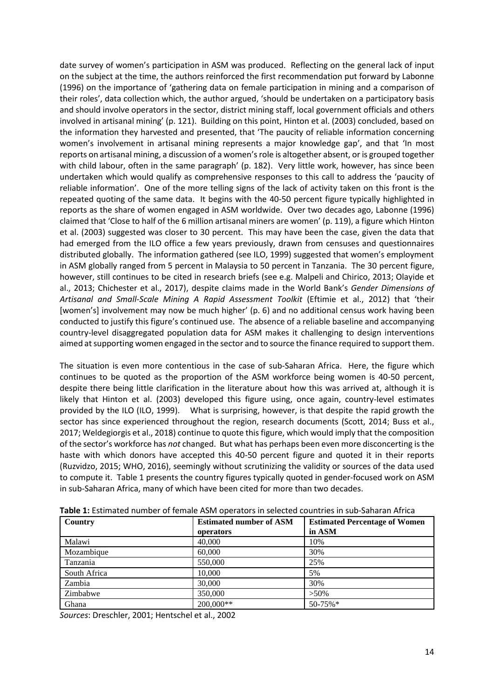date survey of women's participation in ASM was produced. Reflecting on the general lack of input on the subject at the time, the authors reinforced the first recommendation put forward by Labonne (1996) on the importance of 'gathering data on female participation in mining and a comparison of their roles', data collection which, the author argued, 'should be undertaken on a participatory basis and should involve operators in the sector, district mining staff, local government officials and others involved in artisanal mining' (p. 121). Building on this point, Hinton et al. (2003) concluded, based on the information they harvested and presented, that 'The paucity of reliable information concerning women's involvement in artisanal mining represents a major knowledge gap', and that 'In most reports on artisanal mining, a discussion of a women's role is altogether absent, or is grouped together with child labour, often in the same paragraph' (p. 182). Very little work, however, has since been undertaken which would qualify as comprehensive responses to this call to address the 'paucity of reliable information'. One of the more telling signs of the lack of activity taken on this front is the repeated quoting of the same data. It begins with the 40-50 percent figure typically highlighted in reports as the share of women engaged in ASM worldwide. Over two decades ago, Labonne (1996) claimed that 'Close to half of the 6 million artisanal miners are women' (p. 119), a figure which Hinton et al. (2003) suggested was closer to 30 percent. This may have been the case, given the data that had emerged from the ILO office a few years previously, drawn from censuses and questionnaires distributed globally. The information gathered (see ILO, 1999) suggested that women's employment in ASM globally ranged from 5 percent in Malaysia to 50 percent in Tanzania. The 30 percent figure, however, still continues to be cited in research briefs (see e.g. Malpeli and Chirico, 2013; Olayide et al., 2013; Chichester et al., 2017), despite claims made in the World Bank's *Gender Dimensions of Artisanal and Small-Scale Mining A Rapid Assessment Toolkit* (Eftimie et al., 2012) that 'their [women's] involvement may now be much higher' (p. 6) and no additional census work having been conducted to justify this figure's continued use. The absence of a reliable baseline and accompanying country-level disaggregated population data for ASM makes it challenging to design interventions aimed at supporting women engaged in the sector and to source the finance required to support them.

The situation is even more contentious in the case of sub-Saharan Africa. Here, the figure which continues to be quoted as the proportion of the ASM workforce being women is 40-50 percent, despite there being little clarification in the literature about how this was arrived at, although it is likely that Hinton et al. (2003) developed this figure using, once again, country-level estimates provided by the ILO (ILO, 1999). What is surprising, however, is that despite the rapid growth the sector has since experienced throughout the region, research documents (Scott, 2014; Buss et al., 2017; Weldegiorgis et al., 2018) continue to quote this figure, which would imply that the composition of the sector's workforce has *not* changed. But what has perhaps been even more disconcerting is the haste with which donors have accepted this 40-50 percent figure and quoted it in their reports (Ruzvidzo, 2015; WHO, 2016), seemingly without scrutinizing the validity or sources of the data used to compute it. Table 1 presents the country figures typically quoted in gender-focused work on ASM in sub-Saharan Africa, many of which have been cited for more than two decades.

| Country      | <b>Estimated number of ASM</b><br>operators | <b>Estimated Percentage of Women</b><br>in ASM |
|--------------|---------------------------------------------|------------------------------------------------|
| Malawi       | 40,000                                      | 10%                                            |
| Mozambique   | 60,000                                      | 30%                                            |
| Tanzania     | 550,000                                     | 25%                                            |
| South Africa | 10,000                                      | 5%                                             |
| Zambia       | 30,000                                      | 30%                                            |
| Zimbabwe     | 350,000                                     | $>50\%$                                        |
| Ghana        | 200,000**                                   | 50-75%*                                        |

**Table 1:** Estimated number of female ASM operators in selected countries in sub-Saharan Africa

*Sources*: Dreschler, 2001; Hentschel et al., 2002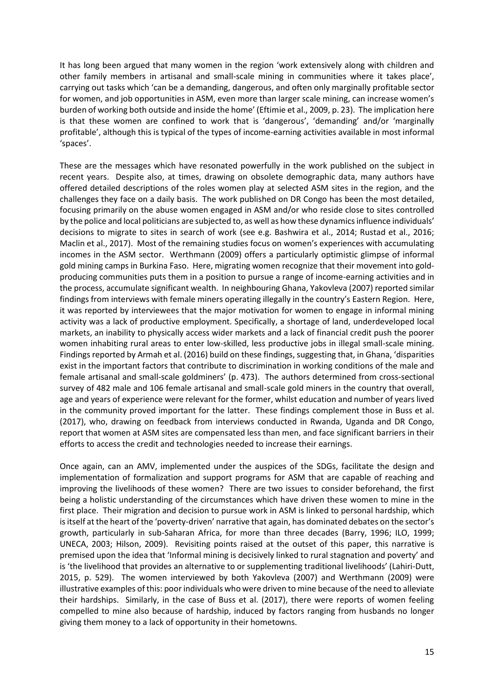It has long been argued that many women in the region 'work extensively along with children and other family members in artisanal and small-scale mining in communities where it takes place', carrying out tasks which 'can be a demanding, dangerous, and often only marginally profitable sector for women, and job opportunities in ASM, even more than larger scale mining, can increase women's burden of working both outside and inside the home' (Eftimie et al., 2009, p. 23). The implication here is that these women are confined to work that is 'dangerous', 'demanding' and/or 'marginally profitable', although this is typical of the types of income-earning activities available in most informal 'spaces'.

These are the messages which have resonated powerfully in the work published on the subject in recent years. Despite also, at times, drawing on obsolete demographic data, many authors have offered detailed descriptions of the roles women play at selected ASM sites in the region, and the challenges they face on a daily basis. The work published on DR Congo has been the most detailed, focusing primarily on the abuse women engaged in ASM and/or who reside close to sites controlled by the police and local politicians are subjected to, as well as how these dynamics influence individuals' decisions to migrate to sites in search of work (see e.g. Bashwira et al., 2014; Rustad et al., 2016; Maclin et al., 2017). Most of the remaining studies focus on women's experiences with accumulating incomes in the ASM sector. Werthmann (2009) offers a particularly optimistic glimpse of informal gold mining camps in Burkina Faso. Here, migrating women recognize that their movement into goldproducing communities puts them in a position to pursue a range of income-earning activities and in the process, accumulate significant wealth. In neighbouring Ghana, Yakovleva (2007) reported similar findings from interviews with female miners operating illegally in the country's Eastern Region. Here, it was reported by interviewees that the major motivation for women to engage in informal mining activity was a lack of productive employment. Specifically, a shortage of land, underdeveloped local markets, an inability to physically access wider markets and a lack of financial credit push the poorer women inhabiting rural areas to enter low-skilled, less productive jobs in illegal small-scale mining. Findings reported by Armah et al. (2016) build on these findings, suggesting that, in Ghana, 'disparities exist in the important factors that contribute to discrimination in working conditions of the male and female artisanal and small-scale goldminers' (p. 473). The authors determined from cross-sectional survey of 482 male and 106 female artisanal and small-scale gold miners in the country that overall, age and years of experience were relevant for the former, whilst education and number of years lived in the community proved important for the latter. These findings complement those in Buss et al. (2017), who, drawing on feedback from interviews conducted in Rwanda, Uganda and DR Congo, report that women at ASM sites are compensated less than men, and face significant barriers in their efforts to access the credit and technologies needed to increase their earnings.

Once again, can an AMV, implemented under the auspices of the SDGs, facilitate the design and implementation of formalization and support programs for ASM that are capable of reaching and improving the livelihoods of these women? There are two issues to consider beforehand, the first being a holistic understanding of the circumstances which have driven these women to mine in the first place. Their migration and decision to pursue work in ASM is linked to personal hardship, which is itself at the heart of the 'poverty-driven' narrative that again, has dominated debates on the sector's growth, particularly in sub-Saharan Africa, for more than three decades (Barry, 1996; ILO, 1999; UNECA, 2003; Hilson, 2009). Revisiting points raised at the outset of this paper, this narrative is premised upon the idea that 'Informal mining is decisively linked to rural stagnation and poverty' and is 'the livelihood that provides an alternative to or supplementing traditional livelihoods' (Lahiri-Dutt, 2015, p. 529). The women interviewed by both Yakovleva (2007) and Werthmann (2009) were illustrative examples of this: poor individuals who were driven to mine because of the need to alleviate their hardships. Similarly, in the case of Buss et al. (2017), there were reports of women feeling compelled to mine also because of hardship, induced by factors ranging from husbands no longer giving them money to a lack of opportunity in their hometowns.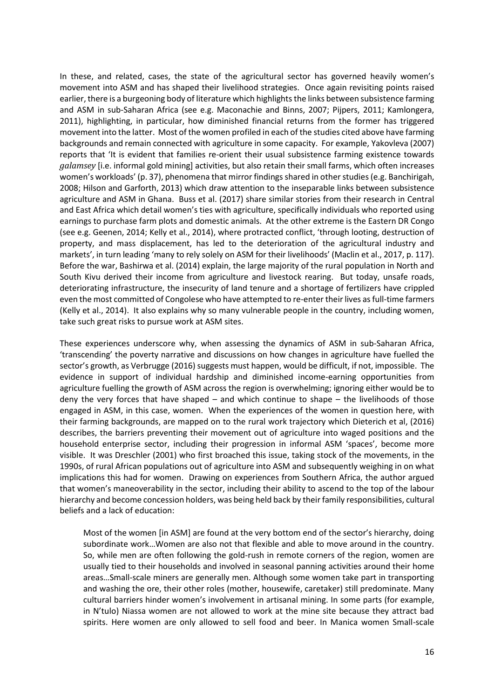In these, and related, cases, the state of the agricultural sector has governed heavily women's movement into ASM and has shaped their livelihood strategies. Once again revisiting points raised earlier, there is a burgeoning body of literature which highlights the links between subsistence farming and ASM in sub-Saharan Africa (see e.g. Maconachie and Binns, 2007; Pijpers, 2011; Kamlongera, 2011), highlighting, in particular, how diminished financial returns from the former has triggered movement into the latter. Most of the women profiled in each of the studies cited above have farming backgrounds and remain connected with agriculture in some capacity. For example, Yakovleva (2007) reports that 'It is evident that families re-orient their usual subsistence farming existence towards *galamsey* [i.e. informal gold mining] activities, but also retain their small farms, which often increases women's workloads' (p. 37), phenomena that mirror findings shared in other studies (e.g. Banchirigah, 2008; Hilson and Garforth, 2013) which draw attention to the inseparable links between subsistence agriculture and ASM in Ghana. Buss et al. (2017) share similar stories from their research in Central and East Africa which detail women's ties with agriculture, specifically individuals who reported using earnings to purchase farm plots and domestic animals. At the other extreme is the Eastern DR Congo (see e.g. Geenen, 2014; Kelly et al., 2014), where protracted conflict, 'through looting, destruction of property, and mass displacement, has led to the deterioration of the agricultural industry and markets', in turn leading 'many to rely solely on ASM for their livelihoods' (Maclin et al., 2017, p. 117). Before the war, Bashirwa et al. (2014) explain, the large majority of the rural population in North and South Kivu derived their income from agriculture and livestock rearing. But today, unsafe roads, deteriorating infrastructure, the insecurity of land tenure and a shortage of fertilizers have crippled even the most committed of Congolese who have attempted to re-enter their lives as full-time farmers (Kelly et al., 2014). It also explains why so many vulnerable people in the country, including women, take such great risks to pursue work at ASM sites.

These experiences underscore why, when assessing the dynamics of ASM in sub-Saharan Africa, 'transcending' the poverty narrative and discussions on how changes in agriculture have fuelled the sector's growth, as Verbrugge (2016) suggests must happen, would be difficult, if not, impossible. The evidence in support of individual hardship and diminished income-earning opportunities from agriculture fuelling the growth of ASM across the region is overwhelming; ignoring either would be to deny the very forces that have shaped – and which continue to shape – the livelihoods of those engaged in ASM, in this case, women. When the experiences of the women in question here, with their farming backgrounds, are mapped on to the rural work trajectory which Dieterich et al, (2016) describes, the barriers preventing their movement out of agriculture into waged positions and the household enterprise sector, including their progression in informal ASM 'spaces', become more visible. It was Dreschler (2001) who first broached this issue, taking stock of the movements, in the 1990s, of rural African populations out of agriculture into ASM and subsequently weighing in on what implications this had for women. Drawing on experiences from Southern Africa, the author argued that women's maneoverability in the sector, including their ability to ascend to the top of the labour hierarchy and become concession holders, was being held back by their family responsibilities, cultural beliefs and a lack of education:

Most of the women [in ASM] are found at the very bottom end of the sector's hierarchy, doing subordinate work…Women are also not that flexible and able to move around in the country. So, while men are often following the gold-rush in remote corners of the region, women are usually tied to their households and involved in seasonal panning activities around their home areas…Small-scale miners are generally men. Although some women take part in transporting and washing the ore, their other roles (mother, housewife, caretaker) still predominate. Many cultural barriers hinder women's involvement in artisanal mining. In some parts (for example, in N'tulo) Niassa women are not allowed to work at the mine site because they attract bad spirits. Here women are only allowed to sell food and beer. In Manica women Small-scale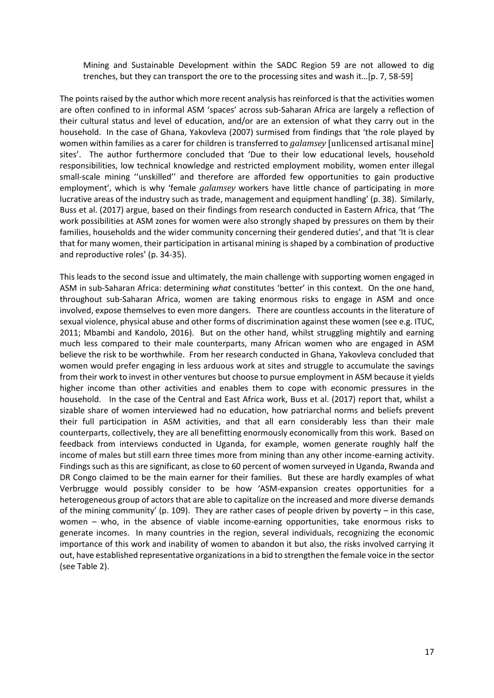Mining and Sustainable Development within the SADC Region 59 are not allowed to dig trenches, but they can transport the ore to the processing sites and wash it…[p. 7, 58-59]

The points raised by the author which more recent analysis has reinforced is that the activities women are often confined to in informal ASM 'spaces' across sub-Saharan Africa are largely a reflection of their cultural status and level of education, and/or are an extension of what they carry out in the household. In the case of Ghana, Yakovleva (2007) surmised from findings that 'the role played by women within families as a carer for children is transferred to *galamsey* [unlicensed artisanal mine] sites'. The author furthermore concluded that 'Due to their low educational levels, household responsibilities, low technical knowledge and restricted employment mobility, women enter illegal small-scale mining ''unskilled'' and therefore are afforded few opportunities to gain productive employment', which is why 'female *galamsey* workers have little chance of participating in more lucrative areas of the industry such as trade, management and equipment handling' (p. 38). Similarly, Buss et al. (2017) argue, based on their findings from research conducted in Eastern Africa, that 'The work possibilities at ASM zones for women were also strongly shaped by pressures on them by their families, households and the wider community concerning their gendered duties', and that 'It is clear that for many women, their participation in artisanal mining is shaped by a combination of productive and reproductive roles' (p. 34-35).

This leads to the second issue and ultimately, the main challenge with supporting women engaged in ASM in sub-Saharan Africa: determining *what* constitutes 'better' in this context. On the one hand, throughout sub-Saharan Africa, women are taking enormous risks to engage in ASM and once involved, expose themselves to even more dangers. There are countless accounts in the literature of sexual violence, physical abuse and other forms of discrimination against these women (see e.g. ITUC, 2011; Mbambi and Kandolo, 2016). But on the other hand, whilst struggling mightily and earning much less compared to their male counterparts, many African women who are engaged in ASM believe the risk to be worthwhile. From her research conducted in Ghana, Yakovleva concluded that women would prefer engaging in less arduous work at sites and struggle to accumulate the savings from their work to invest in other ventures but choose to pursue employment in ASM because it yields higher income than other activities and enables them to cope with economic pressures in the household. In the case of the Central and East Africa work, Buss et al. (2017) report that, whilst a sizable share of women interviewed had no education, how patriarchal norms and beliefs prevent their full participation in ASM activities, and that all earn considerably less than their male counterparts, collectively, they are all benefitting enormously economically from this work. Based on feedback from interviews conducted in Uganda, for example, women generate roughly half the income of males but still earn three times more from mining than any other income-earning activity. Findings such as this are significant, as close to 60 percent of women surveyed in Uganda, Rwanda and DR Congo claimed to be the main earner for their families. But these are hardly examples of what Verbrugge would possibly consider to be how 'ASM-expansion creates opportunities for a heterogeneous group of actors that are able to capitalize on the increased and more diverse demands of the mining community' (p. 109). They are rather cases of people driven by poverty – in this case, women – who, in the absence of viable income-earning opportunities, take enormous risks to generate incomes. In many countries in the region, several individuals, recognizing the economic importance of this work and inability of women to abandon it but also, the risks involved carrying it out, have established representative organizationsin a bid to strengthen the female voice in the sector (see Table 2).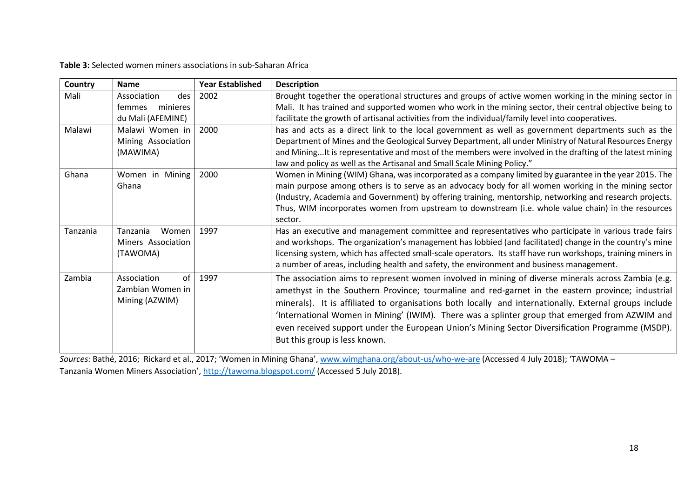**Table 3:** Selected women miners associations in sub-Saharan Africa

| Country  | <b>Name</b>                                                   | <b>Year Established</b> | <b>Description</b>                                                                                                                                                                                                                                                                                                                                                                                                                                                                                                                                      |
|----------|---------------------------------------------------------------|-------------------------|---------------------------------------------------------------------------------------------------------------------------------------------------------------------------------------------------------------------------------------------------------------------------------------------------------------------------------------------------------------------------------------------------------------------------------------------------------------------------------------------------------------------------------------------------------|
| Mali     | des<br>Association<br>minieres<br>femmes<br>du Mali (AFEMINE) | 2002                    | Brought together the operational structures and groups of active women working in the mining sector in<br>Mali. It has trained and supported women who work in the mining sector, their central objective being to<br>facilitate the growth of artisanal activities from the individual/family level into cooperatives.                                                                                                                                                                                                                                 |
| Malawi   | Malawi Women in<br>Mining Association<br>(MAWIMA)             | 2000                    | has and acts as a direct link to the local government as well as government departments such as the<br>Department of Mines and the Geological Survey Department, all under Ministry of Natural Resources Energy<br>and MiningIt is representative and most of the members were involved in the drafting of the latest mining<br>law and policy as well as the Artisanal and Small Scale Mining Policy."                                                                                                                                                 |
| Ghana    | Women in Mining<br>Ghana                                      | 2000                    | Women in Mining (WIM) Ghana, was incorporated as a company limited by guarantee in the year 2015. The<br>main purpose among others is to serve as an advocacy body for all women working in the mining sector<br>(Industry, Academia and Government) by offering training, mentorship, networking and research projects.<br>Thus, WIM incorporates women from upstream to downstream (i.e. whole value chain) in the resources<br>sector.                                                                                                               |
| Tanzania | Women<br>Tanzania<br>Miners Association<br>(TAWOMA)           | 1997                    | Has an executive and management committee and representatives who participate in various trade fairs<br>and workshops. The organization's management has lobbied (and facilitated) change in the country's mine<br>licensing system, which has affected small-scale operators. Its staff have run workshops, training miners in<br>a number of areas, including health and safety, the environment and business management.                                                                                                                             |
| Zambia   | Association<br>of<br>Zambian Women in<br>Mining (AZWIM)       | 1997                    | The association aims to represent women involved in mining of diverse minerals across Zambia (e.g.<br>amethyst in the Southern Province; tourmaline and red-garnet in the eastern province; industrial<br>minerals). It is affiliated to organisations both locally and internationally. External groups include<br>'International Women in Mining' (IWIM). There was a splinter group that emerged from AZWIM and<br>even received support under the European Union's Mining Sector Diversification Programme (MSDP).<br>But this group is less known. |

*Sources*: Bathé, 2016; Rickard et al., 2017; 'Women in Mining Ghana', [www.wimghana.org/about-us/who-we-are](http://www.wimghana.org/about-us/who-we-are) (Accessed 4 July 2018); 'TAWOMA – Tanzania Women Miners Association', <http://tawoma.blogspot.com/> (Accessed 5 July 2018).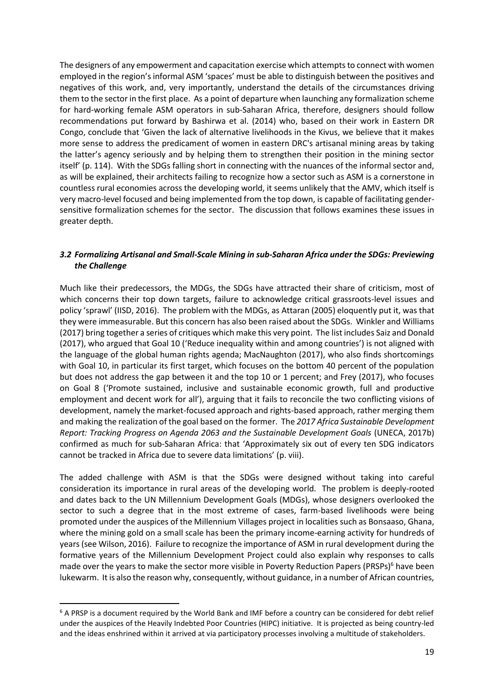The designers of any empowerment and capacitation exercise which attempts to connect with women employed in the region's informal ASM 'spaces' must be able to distinguish between the positives and negatives of this work, and, very importantly, understand the details of the circumstances driving them to the sector in the first place. As a point of departure when launching any formalization scheme for hard-working female ASM operators in sub-Saharan Africa, therefore, designers should follow recommendations put forward by Bashirwa et al. (2014) who, based on their work in Eastern DR Congo, conclude that 'Given the lack of alternative livelihoods in the Kivus, we believe that it makes more sense to address the predicament of women in eastern DRC's artisanal mining areas by taking the latter's agency seriously and by helping them to strengthen their position in the mining sector itself' (p. 114). With the SDGs falling short in connecting with the nuances of the informal sector and, as will be explained, their architects failing to recognize how a sector such as ASM is a cornerstone in countless rural economies across the developing world, it seems unlikely that the AMV, which itself is very macro-level focused and being implemented from the top down, is capable of facilitating gendersensitive formalization schemes for the sector. The discussion that follows examines these issues in greater depth.

# *3.2 Formalizing Artisanal and Small-Scale Mining in sub-Saharan Africa under the SDGs: Previewing the Challenge*

Much like their predecessors, the MDGs, the SDGs have attracted their share of criticism, most of which concerns their top down targets, failure to acknowledge critical grassroots-level issues and policy 'sprawl' (IISD, 2016). The problem with the MDGs, as Attaran (2005) eloquently put it, was that they were immeasurable. But this concern has also been raised about the SDGs. Winkler and Williams (2017) bring together a series of critiques which make this very point. The list includes Saiz and Donald (2017), who argued that Goal 10 ('Reduce inequality within and among countries') is not aligned with the language of the global human rights agenda; MacNaughton (2017), who also finds shortcomings with Goal 10, in particular its first target, which focuses on the bottom 40 percent of the population but does not address the gap between it and the top 10 or 1 percent; and Frey (2017), who focuses on Goal 8 ('Promote sustained, inclusive and sustainable economic growth, full and productive employment and decent work for all'), arguing that it fails to reconcile the two conflicting visions of development, namely the market-focused approach and rights-based approach, rather merging them and making the realization of the goal based on the former. The *2017 Africa Sustainable Development Report: Tracking Progress on Agenda 2063 and the Sustainable Development Goals* (UNECA, 2017b) confirmed as much for sub-Saharan Africa: that 'Approximately six out of every ten SDG indicators cannot be tracked in Africa due to severe data limitations' (p. viii).

The added challenge with ASM is that the SDGs were designed without taking into careful consideration its importance in rural areas of the developing world. The problem is deeply-rooted and dates back to the UN Millennium Development Goals (MDGs), whose designers overlooked the sector to such a degree that in the most extreme of cases, farm-based livelihoods were being promoted under the auspices of the Millennium Villages project in localities such as Bonsaaso, Ghana, where the mining gold on a small scale has been the primary income-earning activity for hundreds of years (see Wilson, 2016). Failure to recognize the importance of ASM in rural development during the formative years of the Millennium Development Project could also explain why responses to calls made over the years to make the sector more visible in Poverty Reduction Papers (PRSPs)<sup>6</sup> have been lukewarm. It is also the reason why, consequently, without guidance, in a number of African countries,

<sup>6</sup> A PRSP is a document required by the World Bank and IMF before a country can be considered for debt relief under the auspices of the Heavily Indebted Poor Countries (HIPC) initiative. It is projected as being country-led and the ideas enshrined within it arrived at via participatory processes involving a multitude of stakeholders.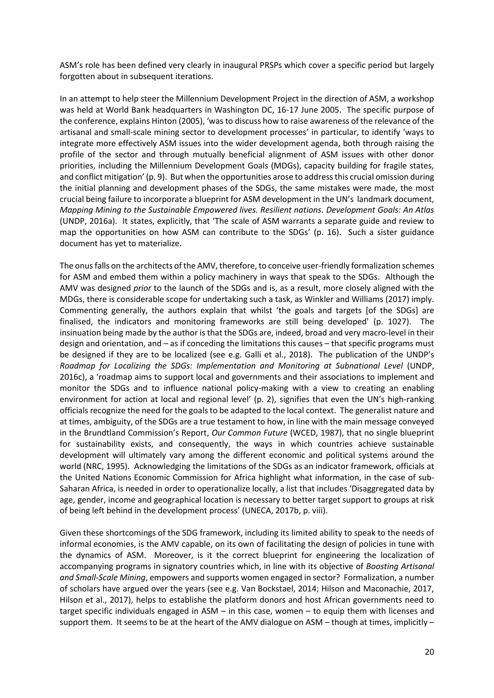ASM's role has been defined very clearly in inaugural PRSPs which cover a specific period but largely forgotten about in subsequent iterations.

In an attempt to help steer the Millennium Development Project in the direction of ASM, a workshop was held at World Bank headquarters in Washington DC, 16-17 June 2005. The specific purpose of the conference, explains Hinton (2005), 'was to discuss how to raise awareness of the relevance of the artisanal and small-scale mining sector to development processes' in particular, to identify 'ways to integrate more effectively ASM issues into the wider development agenda, both through raising the profile of the sector and through mutually beneficial alignment of ASM issues with other donor priorities, including the Millennium Development Goals (MDGs), capacity building for fragile states, and conflict mitigation' (p. 9). But when the opportunities arose to address this crucial omission during the initial planning and development phases of the SDGs, the same mistakes were made, the most crucial being failure to incorporate a blueprint for ASM development in the UN's landmark document, *Mapping Mining to the Sustainable Empowered lives. Resilient nations. Development Goals: An Atlas* (UNDP, 2016a). It states, explicitly, that 'The scale of ASM warrants a separate guide and review to map the opportunities on how ASM can contribute to the SDGs' (p. 16). Such a sister guidance document has yet to materialize.

The onus falls on the architects of the AMV, therefore, to conceive user-friendly formalization schemes for ASM and embed them within a policy machinery in ways that speak to the SDGs. Although the AMV was designed *prior* to the launch of the SDGs and is, as a result, more closely aligned with the MDGs, there is considerable scope for undertaking such a task, as Winkler and Williams (2017) imply. Commenting generally, the authors explain that whilst 'the goals and targets [of the SDGs] are finalised, the indicators and monitoring frameworks are still being developed' (p. 1027). The insinuation being made by the author is that the SDGs are, indeed, broad and very macro-level in their design and orientation, and – as if conceding the limitations this causes – that specific programs must be designed if they are to be localized (see e.g. Galli et al., 2018). The publication of the UNDP's *Roadmap for Localizing the SDGs: Implementation and Monitoring at Subnational Level* (UNDP, 2016c), a 'roadmap aims to support local and governments and their associations to implement and monitor the SDGs and to influence national policy-making with a view to creating an enabling environment for action at local and regional level' (p. 2), signifies that even the UN's high-ranking officials recognize the need for the goals to be adapted to the local context. The generalist nature and at times, ambiguity, of the SDGs are a true testament to how, in line with the main message conveyed in the Brundtland Commission's Report, *Our Common Future* (WCED, 1987), that no single blueprint for sustainability exists, and consequently, the ways in which countries achieve sustainable development will ultimately vary among the different economic and political systems around the world (NRC, 1995). Acknowledging the limitations of the SDGs as an indicator framework, officials at the United Nations Economic Commission for Africa highlight what information, in the case of sub-Saharan Africa, is needed in order to operationalize locally, a list that includes 'Disaggregated data by age, gender, income and geographical location is necessary to better target support to groups at risk of being left behind in the development process' (UNECA, 2017b, p. viii).

Given these shortcomings of the SDG framework, including its limited ability to speak to the needs of informal economies, is the AMV capable, on its own of facilitating the design of policies in tune with the dynamics of ASM. Moreover, is it the correct blueprint for engineering the localization of accompanying programs in signatory countries which, in line with its objective of *Boosting Artisanal and Small-Scale Mining*, empowers and supports women engaged in sector? Formalization, a number of scholars have argued over the years (see e.g. Van Bockstael, 2014; Hilson and Maconachie, 2017, Hilson et al., 2017), helps to establishe the platform donors and host African governments need to target specific individuals engaged in ASM – in this case, women – to equip them with licenses and support them. It seems to be at the heart of the AMV dialogue on ASM – though at times, implicitly –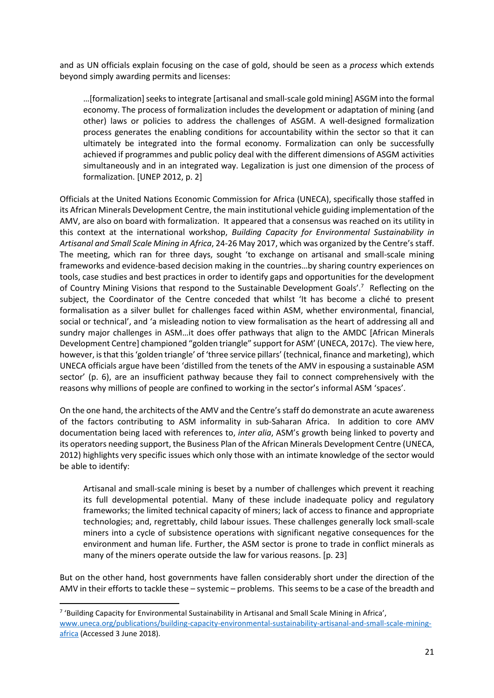and as UN officials explain focusing on the case of gold, should be seen as a *process* which extends beyond simply awarding permits and licenses:

…[formalization] seeks to integrate [artisanal and small-scale gold mining] ASGM into the formal economy. The process of formalization includes the development or adaptation of mining (and other) laws or policies to address the challenges of ASGM. A well-designed formalization process generates the enabling conditions for accountability within the sector so that it can ultimately be integrated into the formal economy. Formalization can only be successfully achieved if programmes and public policy deal with the different dimensions of ASGM activities simultaneously and in an integrated way. Legalization is just one dimension of the process of formalization. [UNEP 2012, p. 2]

Officials at the United Nations Economic Commission for Africa (UNECA), specifically those staffed in its African Minerals Development Centre, the main institutional vehicle guiding implementation of the AMV, are also on board with formalization. It appeared that a consensus was reached on its utility in this context at the international workshop, *Building Capacity for Environmental Sustainability in Artisanal and Small Scale Mining in Africa*, 24-26 May 2017, which was organized by the Centre's staff. The meeting, which ran for three days, sought 'to exchange on artisanal and small-scale mining frameworks and evidence-based decision making in the countries…by sharing country experiences on tools, case studies and best practices in order to identify gaps and opportunities for the development of Country Mining Visions that respond to the Sustainable Development Goals'.<sup>7</sup> Reflecting on the subject, the Coordinator of the Centre conceded that whilst 'It has become a cliché to present formalisation as a silver bullet for challenges faced within ASM, whether environmental, financial, social or technical', and 'a misleading notion to view formalisation as the heart of addressing all and sundry major challenges in ASM…it does offer pathways that align to the AMDC [African Minerals Development Centre] championed "golden triangle" support for ASM' (UNECA, 2017c). The view here, however, is that this 'golden triangle' of 'three service pillars' (technical, finance and marketing), which UNECA officials argue have been 'distilled from the tenets of the AMV in espousing a sustainable ASM sector' (p. 6), are an insufficient pathway because they fail to connect comprehensively with the reasons why millions of people are confined to working in the sector's informal ASM 'spaces'.

On the one hand, the architects of the AMV and the Centre's staff do demonstrate an acute awareness of the factors contributing to ASM informality in sub-Saharan Africa. In addition to core AMV documentation being laced with references to, *inter alia*, ASM's growth being linked to poverty and its operators needing support, the Business Plan of the African Minerals Development Centre (UNECA, 2012) highlights very specific issues which only those with an intimate knowledge of the sector would be able to identify:

Artisanal and small-scale mining is beset by a number of challenges which prevent it reaching its full developmental potential. Many of these include inadequate policy and regulatory frameworks; the limited technical capacity of miners; lack of access to finance and appropriate technologies; and, regrettably, child labour issues. These challenges generally lock small-scale miners into a cycle of subsistence operations with significant negative consequences for the environment and human life. Further, the ASM sector is prone to trade in conflict minerals as many of the miners operate outside the law for various reasons. [p. 23]

But on the other hand, host governments have fallen considerably short under the direction of the AMV in their efforts to tackle these – systemic – problems. This seems to be a case of the breadth and

<sup>&</sup>lt;sup>7</sup> 'Building Capacity for Environmental Sustainability in Artisanal and Small Scale Mining in Africa', [www.uneca.org/publications/building-capacity-environmental-sustainability-artisanal-and-small-scale-mining](http://www.uneca.org/publications/building-capacity-environmental-sustainability-artisanal-and-small-scale-mining-africa)[africa](http://www.uneca.org/publications/building-capacity-environmental-sustainability-artisanal-and-small-scale-mining-africa) (Accessed 3 June 2018).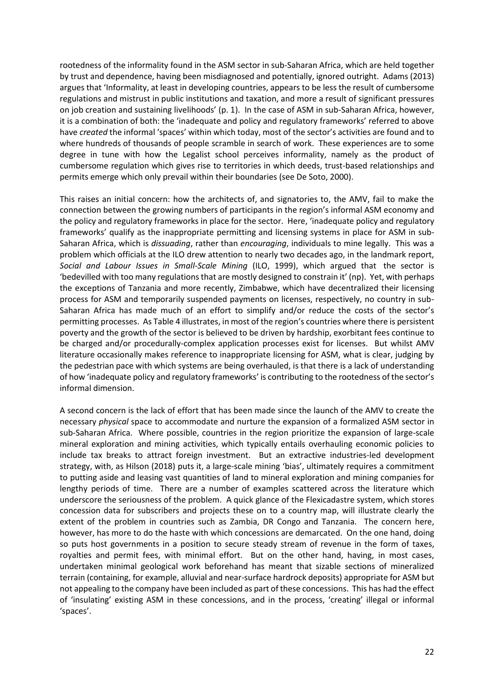rootedness of the informality found in the ASM sector in sub-Saharan Africa, which are held together by trust and dependence, having been misdiagnosed and potentially, ignored outright. Adams (2013) argues that 'Informality, at least in developing countries, appears to be less the result of cumbersome regulations and mistrust in public institutions and taxation, and more a result of significant pressures on job creation and sustaining livelihoods' (p. 1). In the case of ASM in sub-Saharan Africa, however, it is a combination of both: the 'inadequate and policy and regulatory frameworks' referred to above have *created* the informal 'spaces' within which today, most of the sector's activities are found and to where hundreds of thousands of people scramble in search of work. These experiences are to some degree in tune with how the Legalist school perceives informality, namely as the product of cumbersome regulation which gives rise to territories in which deeds, trust-based relationships and permits emerge which only prevail within their boundaries (see De Soto, 2000).

This raises an initial concern: how the architects of, and signatories to, the AMV, fail to make the connection between the growing numbers of participants in the region's informal ASM economy and the policy and regulatory frameworks in place for the sector. Here, 'inadequate policy and regulatory frameworks' qualify as the inappropriate permitting and licensing systems in place for ASM in sub-Saharan Africa, which is *dissuading*, rather than *encouraging*, individuals to mine legally. This was a problem which officials at the ILO drew attention to nearly two decades ago, in the landmark report, *Social and Labour Issues in Small-Scale Mining* (ILO, 1999), which argued that the sector is 'bedevilled with too many regulations that are mostly designed to constrain it' (np). Yet, with perhaps the exceptions of Tanzania and more recently, Zimbabwe, which have decentralized their licensing process for ASM and temporarily suspended payments on licenses, respectively, no country in sub-Saharan Africa has made much of an effort to simplify and/or reduce the costs of the sector's permitting processes. As Table 4 illustrates, in most of the region's countries where there is persistent poverty and the growth of the sector is believed to be driven by hardship, exorbitant fees continue to be charged and/or procedurally-complex application processes exist for licenses. But whilst AMV literature occasionally makes reference to inappropriate licensing for ASM, what is clear, judging by the pedestrian pace with which systems are being overhauled, is that there is a lack of understanding of how 'inadequate policy and regulatory frameworks' is contributing to the rootedness of the sector's informal dimension.

A second concern is the lack of effort that has been made since the launch of the AMV to create the necessary *physical* space to accommodate and nurture the expansion of a formalized ASM sector in sub-Saharan Africa. Where possible, countries in the region prioritize the expansion of large-scale mineral exploration and mining activities, which typically entails overhauling economic policies to include tax breaks to attract foreign investment. But an extractive industries-led development strategy, with, as Hilson (2018) puts it, a large-scale mining 'bias', ultimately requires a commitment to putting aside and leasing vast quantities of land to mineral exploration and mining companies for lengthy periods of time. There are a number of examples scattered across the literature which underscore the seriousness of the problem. A quick glance of the Flexicadastre system, which stores concession data for subscribers and projects these on to a country map, will illustrate clearly the extent of the problem in countries such as Zambia, DR Congo and Tanzania. The concern here, however, has more to do the haste with which concessions are demarcated. On the one hand, doing so puts host governments in a position to secure steady stream of revenue in the form of taxes, royalties and permit fees, with minimal effort. But on the other hand, having, in most cases, undertaken minimal geological work beforehand has meant that sizable sections of mineralized terrain (containing, for example, alluvial and near-surface hardrock deposits) appropriate for ASM but not appealing to the company have been included as part of these concessions. This has had the effect of 'insulating' existing ASM in these concessions, and in the process, 'creating' illegal or informal 'spaces'.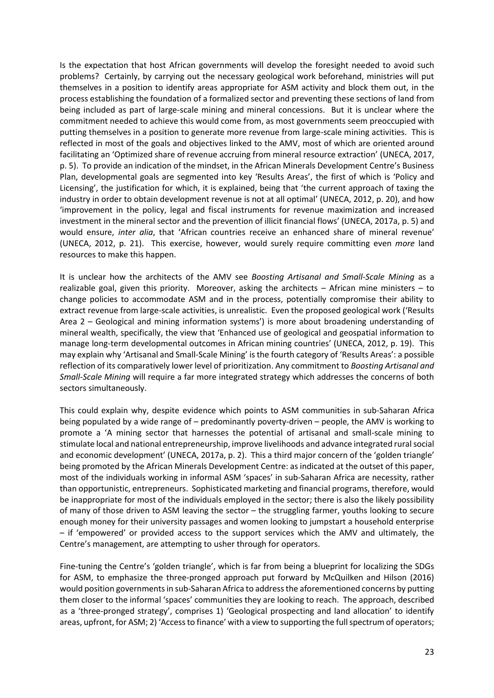Is the expectation that host African governments will develop the foresight needed to avoid such problems? Certainly, by carrying out the necessary geological work beforehand, ministries will put themselves in a position to identify areas appropriate for ASM activity and block them out, in the process establishing the foundation of a formalized sector and preventing these sections of land from being included as part of large-scale mining and mineral concessions. But it is unclear where the commitment needed to achieve this would come from, as most governments seem preoccupied with putting themselves in a position to generate more revenue from large-scale mining activities. This is reflected in most of the goals and objectives linked to the AMV, most of which are oriented around facilitating an 'Optimized share of revenue accruing from mineral resource extraction' (UNECA, 2017, p. 5). To provide an indication of the mindset, in the African Minerals Development Centre's Business Plan, developmental goals are segmented into key 'Results Areas', the first of which is 'Policy and Licensing', the justification for which, it is explained, being that 'the current approach of taxing the industry in order to obtain development revenue is not at all optimal' (UNECA, 2012, p. 20), and how 'improvement in the policy, legal and fiscal instruments for revenue maximization and increased investment in the mineral sector and the prevention of illicit financial flows' (UNECA, 2017a, p. 5) and would ensure, *inter alia*, that 'African countries receive an enhanced share of mineral revenue' (UNECA, 2012, p. 21). This exercise, however, would surely require committing even *more* land resources to make this happen.

It is unclear how the architects of the AMV see *Boosting Artisanal and Small-Scale Mining* as a realizable goal, given this priority. Moreover, asking the architects – African mine ministers – to change policies to accommodate ASM and in the process, potentially compromise their ability to extract revenue from large-scale activities, is unrealistic. Even the proposed geological work ('Results Area 2 – Geological and mining information systems') is more about broadening understanding of mineral wealth, specifically, the view that 'Enhanced use of geological and geospatial information to manage long-term developmental outcomes in African mining countries' (UNECA, 2012, p. 19). This may explain why 'Artisanal and Small-Scale Mining' is the fourth category of 'Results Areas': a possible reflection of its comparatively lower level of prioritization. Any commitment to *Boosting Artisanal and Small-Scale Mining* will require a far more integrated strategy which addresses the concerns of both sectors simultaneously.

This could explain why, despite evidence which points to ASM communities in sub-Saharan Africa being populated by a wide range of – predominantly poverty-driven – people, the AMV is working to promote a 'A mining sector that harnesses the potential of artisanal and small-scale mining to stimulate local and national entrepreneurship, improve livelihoods and advance integrated rural social and economic development' (UNECA, 2017a, p. 2). This a third major concern of the 'golden triangle' being promoted by the African Minerals Development Centre: as indicated at the outset of this paper, most of the individuals working in informal ASM 'spaces' in sub-Saharan Africa are necessity, rather than opportunistic, entrepreneurs. Sophisticated marketing and financial programs, therefore, would be inappropriate for most of the individuals employed in the sector; there is also the likely possibility of many of those driven to ASM leaving the sector – the struggling farmer, youths looking to secure enough money for their university passages and women looking to jumpstart a household enterprise – if 'empowered' or provided access to the support services which the AMV and ultimately, the Centre's management, are attempting to usher through for operators.

Fine-tuning the Centre's 'golden triangle', which is far from being a blueprint for localizing the SDGs for ASM, to emphasize the three-pronged approach put forward by McQuilken and Hilson (2016) would position governments in sub-Saharan Africa to address the aforementioned concerns by putting them closer to the informal 'spaces' communities they are looking to reach. The approach, described as a 'three-pronged strategy', comprises 1) 'Geological prospecting and land allocation' to identify areas, upfront, for ASM; 2) 'Access to finance' with a view to supporting the full spectrum of operators;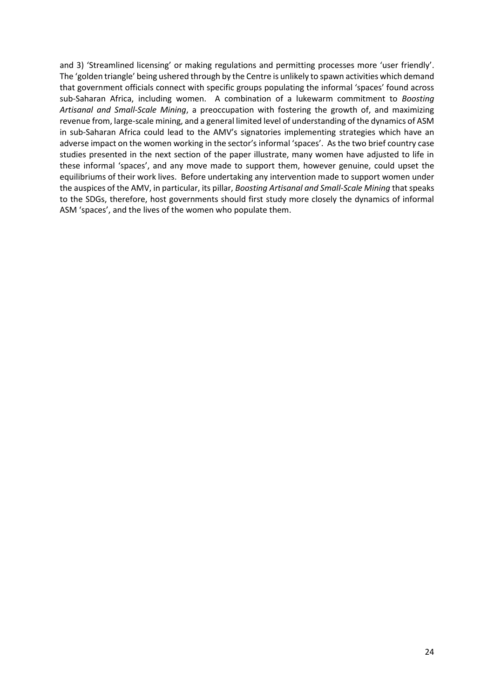and 3) 'Streamlined licensing' or making regulations and permitting processes more 'user friendly'. The 'golden triangle' being ushered through by the Centre is unlikely to spawn activities which demand that government officials connect with specific groups populating the informal 'spaces' found across sub-Saharan Africa, including women. A combination of a lukewarm commitment to *Boosting Artisanal and Small-Scale Mining*, a preoccupation with fostering the growth of, and maximizing revenue from, large-scale mining, and a general limited level of understanding of the dynamics of ASM in sub-Saharan Africa could lead to the AMV's signatories implementing strategies which have an adverse impact on the women working in the sector's informal 'spaces'. As the two brief country case studies presented in the next section of the paper illustrate, many women have adjusted to life in these informal 'spaces', and any move made to support them, however genuine, could upset the equilibriums of their work lives. Before undertaking any intervention made to support women under the auspices of the AMV, in particular, its pillar, *Boosting Artisanal and Small-Scale Mining* that speaks to the SDGs, therefore, host governments should first study more closely the dynamics of informal ASM 'spaces', and the lives of the women who populate them.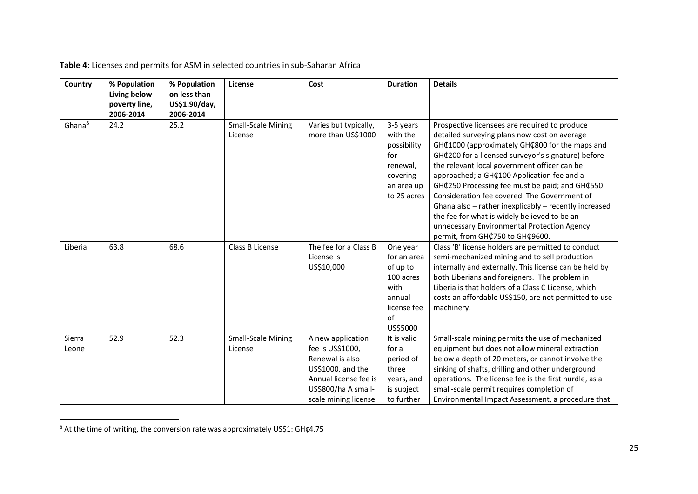**Table 4:** Licenses and permits for ASM in selected countries in sub-Saharan Africa

| Country            | % Population<br>Living below<br>poverty line, | % Population<br>on less than<br>US\$1.90/day, | License                              | Cost                                                                                                                                                  | <b>Duration</b>                                                                                     | <b>Details</b>                                                                                                                                                                                                                                                                                                                                                                                                                                                                                                                                                                                   |
|--------------------|-----------------------------------------------|-----------------------------------------------|--------------------------------------|-------------------------------------------------------------------------------------------------------------------------------------------------------|-----------------------------------------------------------------------------------------------------|--------------------------------------------------------------------------------------------------------------------------------------------------------------------------------------------------------------------------------------------------------------------------------------------------------------------------------------------------------------------------------------------------------------------------------------------------------------------------------------------------------------------------------------------------------------------------------------------------|
|                    | 2006-2014                                     | 2006-2014                                     |                                      |                                                                                                                                                       |                                                                                                     |                                                                                                                                                                                                                                                                                                                                                                                                                                                                                                                                                                                                  |
| Ghana <sup>8</sup> | 24.2                                          | 25.2                                          | <b>Small-Scale Mining</b><br>License | Varies but typically,<br>more than US\$1000                                                                                                           | 3-5 years<br>with the<br>possibility<br>for<br>renewal,<br>covering<br>an area up<br>to 25 acres    | Prospective licensees are required to produce<br>detailed surveying plans now cost on average<br>GH¢1000 (approximately GH¢800 for the maps and<br>GH¢200 for a licensed surveyor's signature) before<br>the relevant local government officer can be<br>approached; a GH¢100 Application fee and a<br>GH¢250 Processing fee must be paid; and GH¢550<br>Consideration fee covered. The Government of<br>Ghana also - rather inexplicably - recently increased<br>the fee for what is widely believed to be an<br>unnecessary Environmental Protection Agency<br>permit, from GH¢750 to GH¢9600. |
| Liberia            | 63.8                                          | 68.6                                          | Class B License                      | The fee for a Class B<br>License is<br>US\$10,000                                                                                                     | One year<br>for an area<br>of up to<br>100 acres<br>with<br>annual<br>license fee<br>of<br>US\$5000 | Class 'B' license holders are permitted to conduct<br>semi-mechanized mining and to sell production<br>internally and externally. This license can be held by<br>both Liberians and foreigners. The problem in<br>Liberia is that holders of a Class C License, which<br>costs an affordable US\$150, are not permitted to use<br>machinery.                                                                                                                                                                                                                                                     |
| Sierra<br>Leone    | 52.9                                          | 52.3                                          | <b>Small-Scale Mining</b><br>License | A new application<br>fee is US\$1000,<br>Renewal is also<br>US\$1000, and the<br>Annual license fee is<br>US\$800/ha A small-<br>scale mining license | It is valid<br>for a<br>period of<br>three<br>years, and<br>is subject<br>to further                | Small-scale mining permits the use of mechanized<br>equipment but does not allow mineral extraction<br>below a depth of 20 meters, or cannot involve the<br>sinking of shafts, drilling and other underground<br>operations. The license fee is the first hurdle, as a<br>small-scale permit requires completion of<br>Environmental Impact Assessment, a procedure that                                                                                                                                                                                                                         |

<sup>8</sup> At the time of writing, the conversion rate was approximately US\$1: GH¢4.75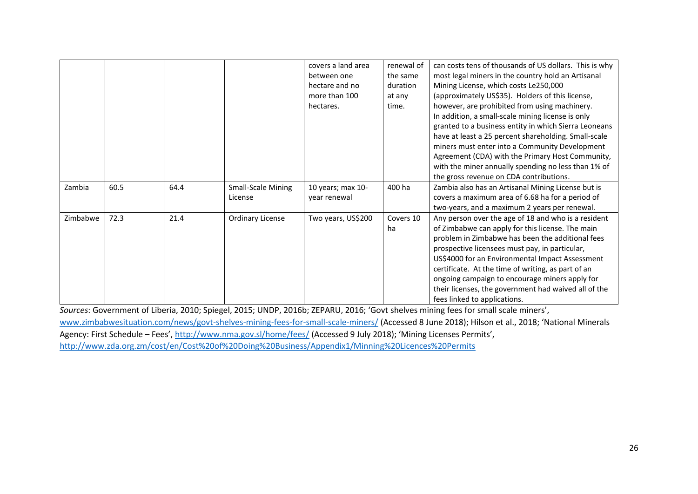|          |      |      |                    | covers a land area | renewal of | can costs tens of thousands of US dollars. This is why |
|----------|------|------|--------------------|--------------------|------------|--------------------------------------------------------|
|          |      |      |                    | between one        | the same   | most legal miners in the country hold an Artisanal     |
|          |      |      |                    | hectare and no     | duration   | Mining License, which costs Le250,000                  |
|          |      |      |                    | more than 100      | at any     | (approximately US\$35). Holders of this license,       |
|          |      |      |                    | hectares.          | time.      | however, are prohibited from using machinery.          |
|          |      |      |                    |                    |            | In addition, a small-scale mining license is only      |
|          |      |      |                    |                    |            | granted to a business entity in which Sierra Leoneans  |
|          |      |      |                    |                    |            | have at least a 25 percent shareholding. Small-scale   |
|          |      |      |                    |                    |            | miners must enter into a Community Development         |
|          |      |      |                    |                    |            | Agreement (CDA) with the Primary Host Community,       |
|          |      |      |                    |                    |            | with the miner annually spending no less than 1% of    |
|          |      |      |                    |                    |            | the gross revenue on CDA contributions.                |
| Zambia   | 60.5 | 64.4 | Small-Scale Mining | 10 years; max 10-  | 400 ha     | Zambia also has an Artisanal Mining License but is     |
|          |      |      | License            | year renewal       |            | covers a maximum area of 6.68 ha for a period of       |
|          |      |      |                    |                    |            | two-years, and a maximum 2 years per renewal.          |
| Zimbabwe | 72.3 | 21.4 | Ordinary License   | Two years, US\$200 | Covers 10  | Any person over the age of 18 and who is a resident    |
|          |      |      |                    |                    | ha         | of Zimbabwe can apply for this license. The main       |
|          |      |      |                    |                    |            | problem in Zimbabwe has been the additional fees       |
|          |      |      |                    |                    |            | prospective licensees must pay, in particular,         |
|          |      |      |                    |                    |            | US\$4000 for an Environmental Impact Assessment        |
|          |      |      |                    |                    |            | certificate. At the time of writing, as part of an     |
|          |      |      |                    |                    |            | ongoing campaign to encourage miners apply for         |
|          |      |      |                    |                    |            | their licenses, the government had waived all of the   |
|          |      |      |                    |                    |            | fees linked to applications.                           |

*Sources*: Government of Liberia, 2010; Spiegel, 2015; UNDP, 2016b; ZEPARU, 2016; 'Govt shelves mining fees for small scale miners', [www.zimbabwesituation.com/news/govt-shelves-mining-fees-for-small-scale-miners/](http://www.zimbabwesituation.com/news/govt-shelves-mining-fees-for-small-scale-miners/) (Accessed 8 June 2018); Hilson et al., 2018; 'National Minerals Agency: First Schedule – Fees', <http://www.nma.gov.sl/home/fees/> (Accessed 9 July 2018); 'Mining Licenses Permits', <http://www.zda.org.zm/cost/en/Cost%20of%20Doing%20Business/Appendix1/Minning%20Licences%20Permits>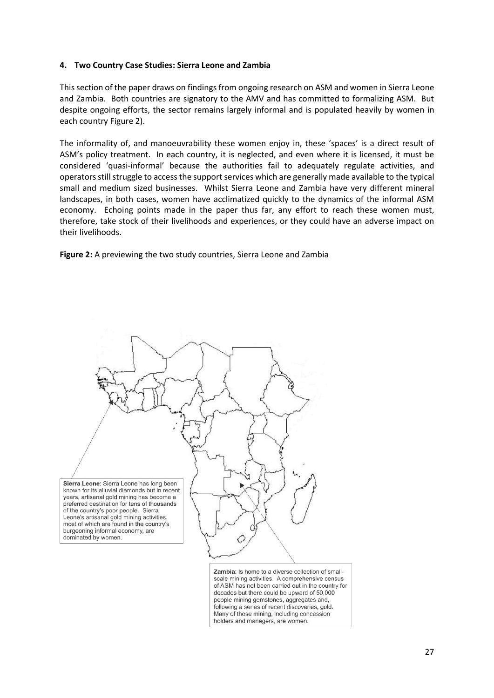#### **4. Two Country Case Studies: Sierra Leone and Zambia**

This section of the paper draws on findings from ongoing research on ASM and women in Sierra Leone and Zambia. Both countries are signatory to the AMV and has committed to formalizing ASM. But despite ongoing efforts, the sector remains largely informal and is populated heavily by women in each country Figure 2).

The informality of, and manoeuvrability these women enjoy in, these 'spaces' is a direct result of ASM's policy treatment. In each country, it is neglected, and even where it is licensed, it must be considered 'quasi-informal' because the authorities fail to adequately regulate activities, and operators still struggle to access the support services which are generally made available to the typical small and medium sized businesses. Whilst Sierra Leone and Zambia have very different mineral landscapes, in both cases, women have acclimatized quickly to the dynamics of the informal ASM economy. Echoing points made in the paper thus far, any effort to reach these women must, therefore, take stock of their livelihoods and experiences, or they could have an adverse impact on their livelihoods.

Figure 2: A previewing the two study countries, Sierra Leone and Zambia



scale mining activities. A comprehensive census of ASM has not been carried out in the country for people mining gemstones, aggregates and, following a series of recent discoveries, gold. Many of those mining, including concession holders and managers, are women.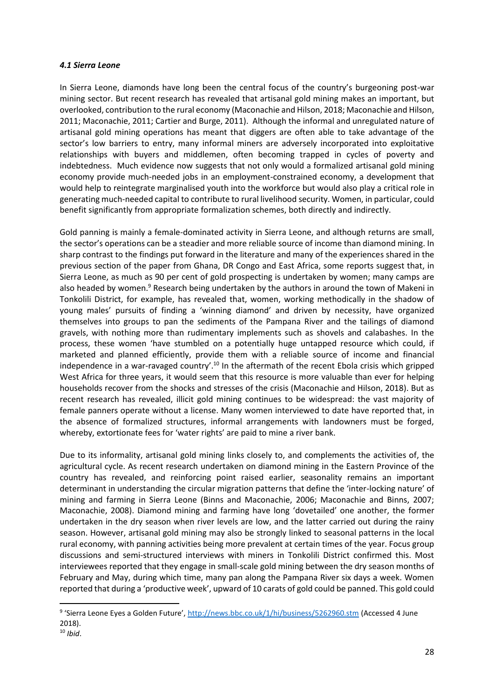#### *4.1 Sierra Leone*

In Sierra Leone, diamonds have long been the central focus of the country's burgeoning post-war mining sector. But recent research has revealed that artisanal gold mining makes an important, but overlooked, contribution to the rural economy (Maconachie and Hilson, 2018; Maconachie and Hilson, 2011; Maconachie, 2011; Cartier and Burge, 2011). Although the informal and unregulated nature of artisanal gold mining operations has meant that diggers are often able to take advantage of the sector's low barriers to entry, many informal miners are adversely incorporated into exploitative relationships with buyers and middlemen, often becoming trapped in cycles of poverty and indebtedness. Much evidence now suggests that not only would a formalized artisanal gold mining economy provide much-needed jobs in an employment-constrained economy, a development that would help to reintegrate marginalised youth into the workforce but would also play a critical role in generating much-needed capital to contribute to rural livelihood security. Women, in particular, could benefit significantly from appropriate formalization schemes, both directly and indirectly.

Gold panning is mainly a female-dominated activity in Sierra Leone, and although returns are small, the sector's operations can be a steadier and more reliable source of income than diamond mining. In sharp contrast to the findings put forward in the literature and many of the experiences shared in the previous section of the paper from Ghana, DR Congo and East Africa, some reports suggest that, in Sierra Leone, as much as 90 per cent of gold prospecting is undertaken by women; many camps are also headed by women. $9$  Research being undertaken by the authors in around the town of Makeni in Tonkolili District, for example, has revealed that, women, working methodically in the shadow of young males' pursuits of finding a 'winning diamond' and driven by necessity, have organized themselves into groups to pan the sediments of the Pampana River and the tailings of diamond gravels, with nothing more than rudimentary implements such as shovels and calabashes. In the process, these women 'have stumbled on a potentially huge untapped resource which could, if marketed and planned efficiently, provide them with a reliable source of income and financial independence in a war-ravaged country'.<sup>10</sup> In the aftermath of the recent Ebola crisis which gripped West Africa for three years, it would seem that this resource is more valuable than ever for helping households recover from the shocks and stresses of the crisis (Maconachie and Hilson, 2018). But as recent research has revealed, illicit gold mining continues to be widespread: the vast majority of female panners operate without a license. Many women interviewed to date have reported that, in the absence of formalized structures, informal arrangements with landowners must be forged, whereby, extortionate fees for 'water rights' are paid to mine a river bank.

Due to its informality, artisanal gold mining links closely to, and complements the activities of, the agricultural cycle. As recent research undertaken on diamond mining in the Eastern Province of the country has revealed, and reinforcing point raised earlier, seasonality remains an important determinant in understanding the circular migration patterns that define the 'inter-locking nature' of mining and farming in Sierra Leone (Binns and Maconachie, 2006; Maconachie and Binns, 2007; Maconachie, 2008). Diamond mining and farming have long 'dovetailed' one another, the former undertaken in the dry season when river levels are low, and the latter carried out during the rainy season. However, artisanal gold mining may also be strongly linked to seasonal patterns in the local rural economy, with panning activities being more prevalent at certain times of the year. Focus group discussions and semi-structured interviews with miners in Tonkolili District confirmed this. Most interviewees reported that they engage in small-scale gold mining between the dry season months of February and May, during which time, many pan along the Pampana River six days a week. Women reported that during a 'productive week', upward of 10 carats of gold could be panned. This gold could

<sup>&</sup>lt;sup>9</sup> 'Sierra Leone Eyes a Golden Future', <http://news.bbc.co.uk/1/hi/business/5262960.stm> (Accessed 4 June 2018).

<sup>10</sup> *Ibid*.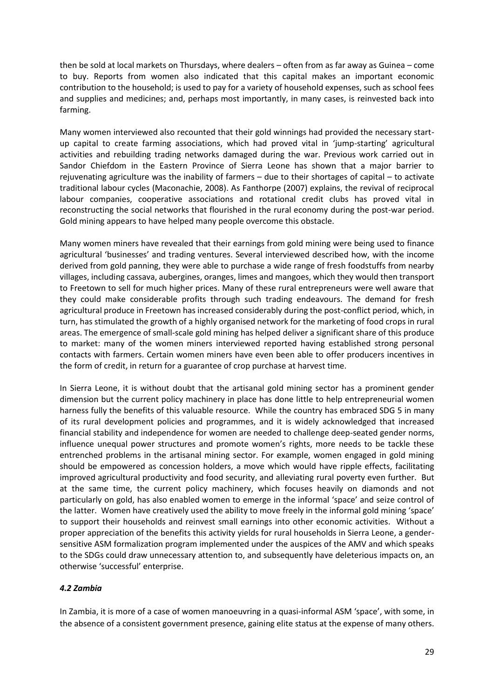then be sold at local markets on Thursdays, where dealers – often from as far away as Guinea – come to buy. Reports from women also indicated that this capital makes an important economic contribution to the household; is used to pay for a variety of household expenses, such as school fees and supplies and medicines; and, perhaps most importantly, in many cases, is reinvested back into farming.

Many women interviewed also recounted that their gold winnings had provided the necessary startup capital to create farming associations, which had proved vital in 'jump-starting' agricultural activities and rebuilding trading networks damaged during the war. Previous work carried out in Sandor Chiefdom in the Eastern Province of Sierra Leone has shown that a major barrier to rejuvenating agriculture was the inability of farmers – due to their shortages of capital – to activate traditional labour cycles (Maconachie, 2008). As Fanthorpe (2007) explains, the revival of reciprocal labour companies, cooperative associations and rotational credit clubs has proved vital in reconstructing the social networks that flourished in the rural economy during the post-war period. Gold mining appears to have helped many people overcome this obstacle.

Many women miners have revealed that their earnings from gold mining were being used to finance agricultural 'businesses' and trading ventures. Several interviewed described how, with the income derived from gold panning, they were able to purchase a wide range of fresh foodstuffs from nearby villages, including cassava, aubergines, oranges, limes and mangoes, which they would then transport to Freetown to sell for much higher prices. Many of these rural entrepreneurs were well aware that they could make considerable profits through such trading endeavours. The demand for fresh agricultural produce in Freetown has increased considerably during the post-conflict period, which, in turn, has stimulated the growth of a highly organised network for the marketing of food crops in rural areas. The emergence of small-scale gold mining has helped deliver a significant share of this produce to market: many of the women miners interviewed reported having established strong personal contacts with farmers. Certain women miners have even been able to offer producers incentives in the form of credit, in return for a guarantee of crop purchase at harvest time.

In Sierra Leone, it is without doubt that the artisanal gold mining sector has a prominent gender dimension but the current policy machinery in place has done little to help entrepreneurial women harness fully the benefits of this valuable resource. While the country has embraced SDG 5 in many of its rural development policies and programmes, and it is widely acknowledged that increased financial stability and independence for women are needed to challenge deep-seated gender norms, influence unequal power structures and promote women's rights, more needs to be tackle these entrenched problems in the artisanal mining sector. For example, women engaged in gold mining should be empowered as concession holders, a move which would have ripple effects, facilitating improved agricultural productivity and food security, and alleviating rural poverty even further. But at the same time, the current policy machinery, which focuses heavily on diamonds and not particularly on gold, has also enabled women to emerge in the informal 'space' and seize control of the latter. Women have creatively used the ability to move freely in the informal gold mining 'space' to support their households and reinvest small earnings into other economic activities. Without a proper appreciation of the benefits this activity yields for rural households in Sierra Leone, a gendersensitive ASM formalization program implemented under the auspices of the AMV and which speaks to the SDGs could draw unnecessary attention to, and subsequently have deleterious impacts on, an otherwise 'successful' enterprise.

#### *4.2 Zambia*

In Zambia, it is more of a case of women manoeuvring in a quasi-informal ASM 'space', with some, in the absence of a consistent government presence, gaining elite status at the expense of many others.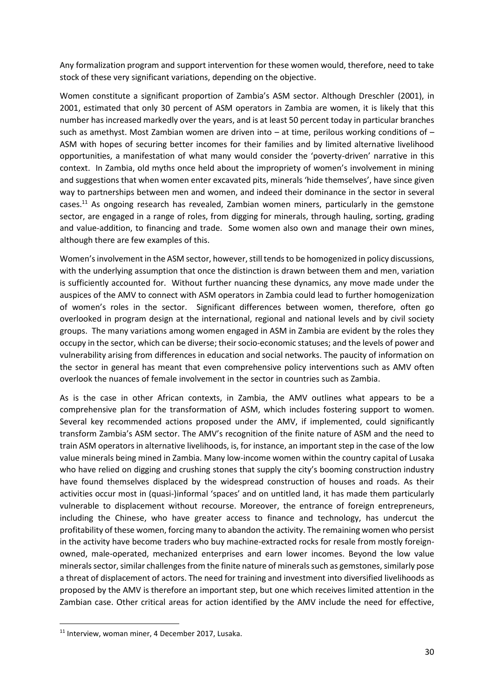Any formalization program and support intervention for these women would, therefore, need to take stock of these very significant variations, depending on the objective.

Women constitute a significant proportion of Zambia's ASM sector. Although Dreschler (2001), in 2001, estimated that only 30 percent of ASM operators in Zambia are women, it is likely that this number has increased markedly over the years, and is at least 50 percent today in particular branches such as amethyst. Most Zambian women are driven into  $-$  at time, perilous working conditions of  $-$ ASM with hopes of securing better incomes for their families and by limited alternative livelihood opportunities, a manifestation of what many would consider the 'poverty-driven' narrative in this context. In Zambia, old myths once held about the impropriety of women's involvement in mining and suggestions that when women enter excavated pits, minerals 'hide themselves', have since given way to partnerships between men and women, and indeed their dominance in the sector in several cases.<sup>11</sup> As ongoing research has revealed, Zambian women miners, particularly in the gemstone sector, are engaged in a range of roles, from digging for minerals, through hauling, sorting, grading and value-addition, to financing and trade. Some women also own and manage their own mines, although there are few examples of this.

Women's involvement in the ASM sector, however, still tends to be homogenized in policy discussions, with the underlying assumption that once the distinction is drawn between them and men, variation is sufficiently accounted for. Without further nuancing these dynamics, any move made under the auspices of the AMV to connect with ASM operators in Zambia could lead to further homogenization of women's roles in the sector. Significant differences between women, therefore, often go overlooked in program design at the international, regional and national levels and by civil society groups. The many variations among women engaged in ASM in Zambia are evident by the roles they occupy in the sector, which can be diverse; their socio-economic statuses; and the levels of power and vulnerability arising from differences in education and social networks. The paucity of information on the sector in general has meant that even comprehensive policy interventions such as AMV often overlook the nuances of female involvement in the sector in countries such as Zambia.

As is the case in other African contexts, in Zambia, the AMV outlines what appears to be a comprehensive plan for the transformation of ASM, which includes fostering support to women. Several key recommended actions proposed under the AMV, if implemented, could significantly transform Zambia's ASM sector. The AMV's recognition of the finite nature of ASM and the need to train ASM operators in alternative livelihoods, is, for instance, an important step in the case of the low value minerals being mined in Zambia. Many low-income women within the country capital of Lusaka who have relied on digging and crushing stones that supply the city's booming construction industry have found themselves displaced by the widespread construction of houses and roads. As their activities occur most in (quasi-)informal 'spaces' and on untitled land, it has made them particularly vulnerable to displacement without recourse. Moreover, the entrance of foreign entrepreneurs, including the Chinese, who have greater access to finance and technology, has undercut the profitability of these women, forcing many to abandon the activity. The remaining women who persist in the activity have become traders who buy machine-extracted rocks for resale from mostly foreignowned, male-operated, mechanized enterprises and earn lower incomes. Beyond the low value minerals sector, similar challenges from the finite nature of minerals such as gemstones, similarly pose a threat of displacement of actors. The need for training and investment into diversified livelihoods as proposed by the AMV is therefore an important step, but one which receives limited attention in the Zambian case. Other critical areas for action identified by the AMV include the need for effective,

<sup>&</sup>lt;sup>11</sup> Interview, woman miner, 4 December 2017, Lusaka.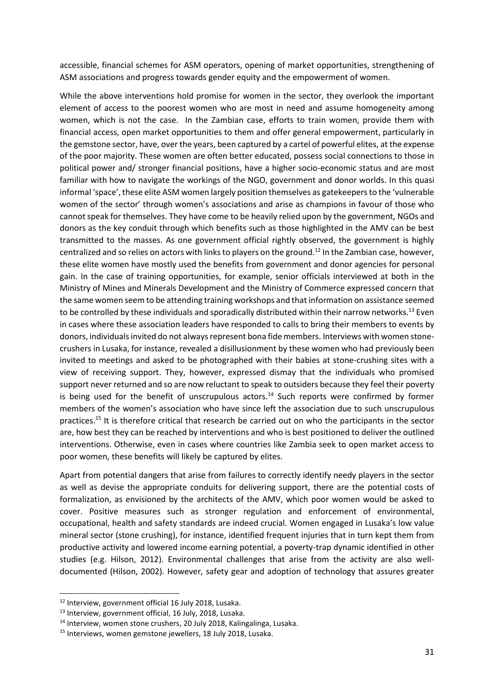accessible, financial schemes for ASM operators, opening of market opportunities, strengthening of ASM associations and progress towards gender equity and the empowerment of women.

While the above interventions hold promise for women in the sector, they overlook the important element of access to the poorest women who are most in need and assume homogeneity among women, which is not the case. In the Zambian case, efforts to train women, provide them with financial access, open market opportunities to them and offer general empowerment, particularly in the gemstone sector, have, over the years, been captured by a cartel of powerful elites, at the expense of the poor majority. These women are often better educated, possess social connections to those in political power and/ stronger financial positions, have a higher socio-economic status and are most familiar with how to navigate the workings of the NGO, government and donor worlds. In this quasi informal 'space', these elite ASM women largely position themselves as gatekeepers to the 'vulnerable women of the sector' through women's associations and arise as champions in favour of those who cannot speak for themselves. They have come to be heavily relied upon by the government, NGOs and donors as the key conduit through which benefits such as those highlighted in the AMV can be best transmitted to the masses. As one government official rightly observed, the government is highly centralized and so relies on actors with links to players on the ground.<sup>12</sup> In the Zambian case, however, these elite women have mostly used the benefits from government and donor agencies for personal gain. In the case of training opportunities, for example, senior officials interviewed at both in the Ministry of Mines and Minerals Development and the Ministry of Commerce expressed concern that the same women seem to be attending training workshops and that information on assistance seemed to be controlled by these individuals and sporadically distributed within their narrow networks.<sup>13</sup> Even in cases where these association leaders have responded to calls to bring their members to events by donors, individuals invited do not always represent bona fide members. Interviews with women stonecrushers in Lusaka, for instance, revealed a disillusionment by these women who had previously been invited to meetings and asked to be photographed with their babies at stone-crushing sites with a view of receiving support. They, however, expressed dismay that the individuals who promised support never returned and so are now reluctant to speak to outsiders because they feel their poverty is being used for the benefit of unscrupulous actors.<sup>14</sup> Such reports were confirmed by former members of the women's association who have since left the association due to such unscrupulous practices.<sup>15</sup> It is therefore critical that research be carried out on who the participants in the sector are, how best they can be reached by interventions and who is best positioned to deliver the outlined interventions. Otherwise, even in cases where countries like Zambia seek to open market access to poor women, these benefits will likely be captured by elites.

Apart from potential dangers that arise from failures to correctly identify needy players in the sector as well as devise the appropriate conduits for delivering support, there are the potential costs of formalization, as envisioned by the architects of the AMV, which poor women would be asked to cover. Positive measures such as stronger regulation and enforcement of environmental, occupational, health and safety standards are indeed crucial. Women engaged in Lusaka's low value mineral sector (stone crushing), for instance, identified frequent injuries that in turn kept them from productive activity and lowered income earning potential, a poverty-trap dynamic identified in other studies (e.g. Hilson, 2012). Environmental challenges that arise from the activity are also welldocumented (Hilson, 2002). However, safety gear and adoption of technology that assures greater

<sup>12</sup> Interview, government official 16 July 2018, Lusaka.

<sup>13</sup> Interview, government official, 16 July, 2018, Lusaka.

<sup>14</sup> Interview, women stone crushers, 20 July 2018, Kalingalinga, Lusaka.

<sup>&</sup>lt;sup>15</sup> Interviews, women gemstone jewellers, 18 July 2018, Lusaka.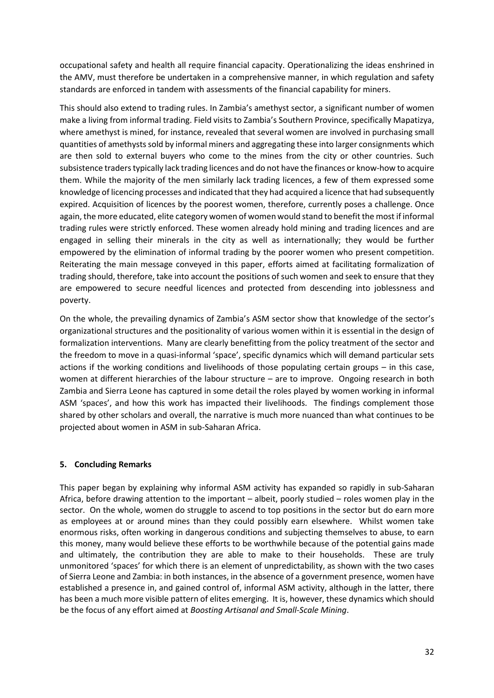occupational safety and health all require financial capacity. Operationalizing the ideas enshrined in the AMV, must therefore be undertaken in a comprehensive manner, in which regulation and safety standards are enforced in tandem with assessments of the financial capability for miners.

This should also extend to trading rules. In Zambia's amethyst sector, a significant number of women make a living from informal trading. Field visits to Zambia's Southern Province, specifically Mapatizya, where amethyst is mined, for instance, revealed that several women are involved in purchasing small quantities of amethysts sold by informal miners and aggregating these into larger consignments which are then sold to external buyers who come to the mines from the city or other countries. Such subsistence traders typically lack trading licences and do not have the finances or know-how to acquire them. While the majority of the men similarly lack trading licences, a few of them expressed some knowledge of licencing processes and indicated that they had acquired a licence that had subsequently expired. Acquisition of licences by the poorest women, therefore, currently poses a challenge. Once again, the more educated, elite category women of women would stand to benefit the most if informal trading rules were strictly enforced. These women already hold mining and trading licences and are engaged in selling their minerals in the city as well as internationally; they would be further empowered by the elimination of informal trading by the poorer women who present competition. Reiterating the main message conveyed in this paper, efforts aimed at facilitating formalization of trading should, therefore, take into account the positions of such women and seek to ensure that they are empowered to secure needful licences and protected from descending into joblessness and poverty.

On the whole, the prevailing dynamics of Zambia's ASM sector show that knowledge of the sector's organizational structures and the positionality of various women within it is essential in the design of formalization interventions. Many are clearly benefitting from the policy treatment of the sector and the freedom to move in a quasi-informal 'space', specific dynamics which will demand particular sets actions if the working conditions and livelihoods of those populating certain groups – in this case, women at different hierarchies of the labour structure – are to improve. Ongoing research in both Zambia and Sierra Leone has captured in some detail the roles played by women working in informal ASM 'spaces', and how this work has impacted their livelihoods. The findings complement those shared by other scholars and overall, the narrative is much more nuanced than what continues to be projected about women in ASM in sub-Saharan Africa.

# **5. Concluding Remarks**

This paper began by explaining why informal ASM activity has expanded so rapidly in sub-Saharan Africa, before drawing attention to the important – albeit, poorly studied – roles women play in the sector. On the whole, women do struggle to ascend to top positions in the sector but do earn more as employees at or around mines than they could possibly earn elsewhere. Whilst women take enormous risks, often working in dangerous conditions and subjecting themselves to abuse, to earn this money, many would believe these efforts to be worthwhile because of the potential gains made and ultimately, the contribution they are able to make to their households. These are truly unmonitored 'spaces' for which there is an element of unpredictability, as shown with the two cases of Sierra Leone and Zambia: in both instances, in the absence of a government presence, women have established a presence in, and gained control of, informal ASM activity, although in the latter, there has been a much more visible pattern of elites emerging. It is, however, these dynamics which should be the focus of any effort aimed at *Boosting Artisanal and Small-Scale Mining*.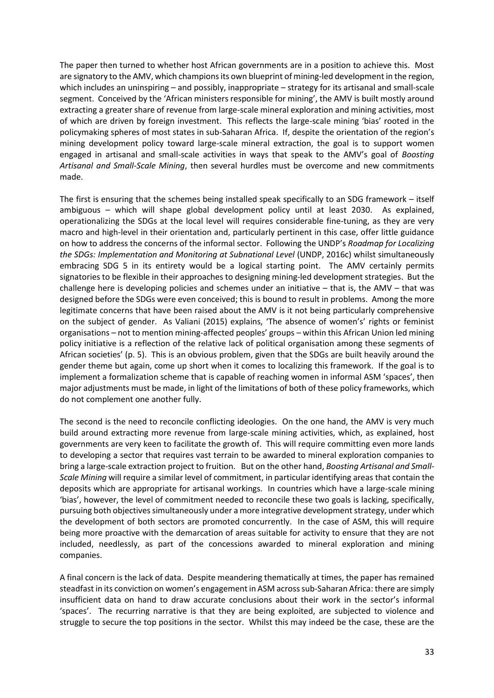The paper then turned to whether host African governments are in a position to achieve this. Most are signatory to the AMV, which champions its own blueprint of mining-led development in the region, which includes an uninspiring – and possibly, inappropriate – strategy for its artisanal and small-scale segment. Conceived by the 'African ministers responsible for mining', the AMV is built mostly around extracting a greater share of revenue from large-scale mineral exploration and mining activities, most of which are driven by foreign investment. This reflects the large-scale mining 'bias' rooted in the policymaking spheres of most states in sub-Saharan Africa. If, despite the orientation of the region's mining development policy toward large-scale mineral extraction, the goal is to support women engaged in artisanal and small-scale activities in ways that speak to the AMV's goal of *Boosting Artisanal and Small-Scale Mining*, then several hurdles must be overcome and new commitments made.

The first is ensuring that the schemes being installed speak specifically to an SDG framework – itself ambiguous – which will shape global development policy until at least 2030. As explained, operationalizing the SDGs at the local level will requires considerable fine-tuning, as they are very macro and high-level in their orientation and, particularly pertinent in this case, offer little guidance on how to address the concerns of the informal sector. Following the UNDP's *Roadmap for Localizing the SDGs: Implementation and Monitoring at Subnational Level* (UNDP, 2016c) whilst simultaneously embracing SDG 5 in its entirety would be a logical starting point. The AMV certainly permits signatories to be flexible in their approaches to designing mining-led development strategies. But the challenge here is developing policies and schemes under an initiative – that is, the AMV – that was designed before the SDGs were even conceived; this is bound to result in problems. Among the more legitimate concerns that have been raised about the AMV is it not being particularly comprehensive on the subject of gender. As Valiani (2015) explains, 'The absence of women's' rights or feminist organisations – not to mention mining-affected peoples' groups – within this African Union led mining policy initiative is a reflection of the relative lack of political organisation among these segments of African societies' (p. 5). This is an obvious problem, given that the SDGs are built heavily around the gender theme but again, come up short when it comes to localizing this framework. If the goal is to implement a formalization scheme that is capable of reaching women in informal ASM 'spaces', then major adjustments must be made, in light of the limitations of both of these policy frameworks, which do not complement one another fully.

The second is the need to reconcile conflicting ideologies. On the one hand, the AMV is very much build around extracting more revenue from large-scale mining activities, which, as explained, host governments are very keen to facilitate the growth of. This will require committing even more lands to developing a sector that requires vast terrain to be awarded to mineral exploration companies to bring a large-scale extraction project to fruition. But on the other hand, *Boosting Artisanal and Small-Scale Mining* will require a similar level of commitment, in particular identifying areas that contain the deposits which are appropriate for artisanal workings. In countries which have a large-scale mining 'bias', however, the level of commitment needed to reconcile these two goals is lacking, specifically, pursuing both objectives simultaneously under a more integrative development strategy, under which the development of both sectors are promoted concurrently. In the case of ASM, this will require being more proactive with the demarcation of areas suitable for activity to ensure that they are not included, needlessly, as part of the concessions awarded to mineral exploration and mining companies.

A final concern is the lack of data. Despite meandering thematically at times, the paper has remained steadfast in its conviction on women's engagement in ASM across sub-Saharan Africa: there are simply insufficient data on hand to draw accurate conclusions about their work in the sector's informal 'spaces'. The recurring narrative is that they are being exploited, are subjected to violence and struggle to secure the top positions in the sector. Whilst this may indeed be the case, these are the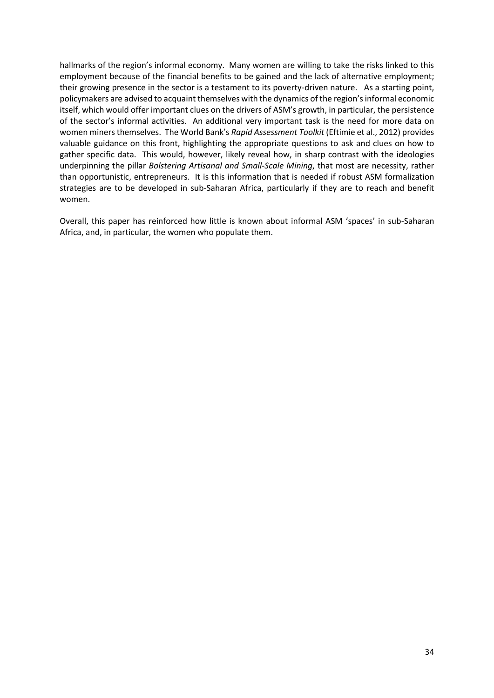hallmarks of the region's informal economy. Many women are willing to take the risks linked to this employment because of the financial benefits to be gained and the lack of alternative employment; their growing presence in the sector is a testament to its poverty-driven nature. As a starting point, policymakers are advised to acquaint themselves with the dynamics of the region's informal economic itself, which would offer important clues on the drivers of ASM's growth, in particular, the persistence of the sector's informal activities. An additional very important task is the need for more data on women miners themselves. The World Bank's *Rapid Assessment Toolkit* (Eftimie et al., 2012) provides valuable guidance on this front, highlighting the appropriate questions to ask and clues on how to gather specific data. This would, however, likely reveal how, in sharp contrast with the ideologies underpinning the pillar *Bolstering Artisanal and Small-Scale Mining*, that most are necessity, rather than opportunistic, entrepreneurs. It is this information that is needed if robust ASM formalization strategies are to be developed in sub-Saharan Africa, particularly if they are to reach and benefit women.

Overall, this paper has reinforced how little is known about informal ASM 'spaces' in sub-Saharan Africa, and, in particular, the women who populate them.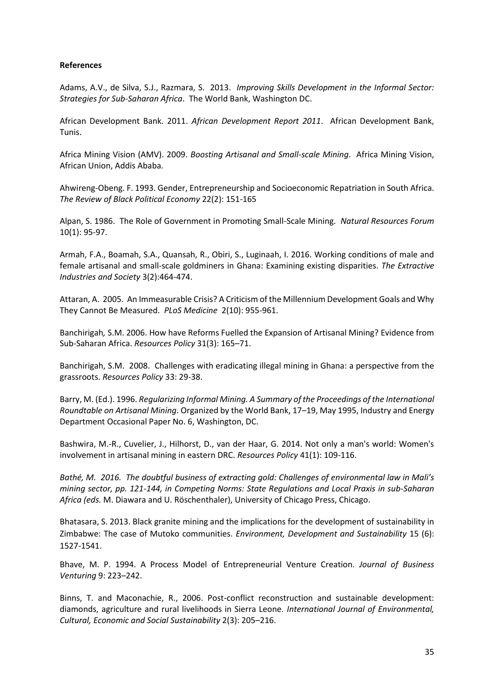#### **References**

Adams, A.V., de Silva, S.J., Razmara, S. 2013. *Improving Skills Development in the Informal Sector: Strategies for Sub-Saharan Africa*. The World Bank, Washington DC.

African Development Bank. 2011. *African Development Report 2011*. African Development Bank, Tunis.

Africa Mining Vision (AMV). 2009. *Boosting Artisanal and Small-scale Mining*. Africa Mining Vision, African Union, Addis Ababa.

Ahwireng-Obeng. F. 1993. Gender, Entrepreneurship and Socioeconomic Repatriation in South Africa. *The Review of Black Political Economy* 22(2): 151-165

Alpan, S. 1986. The Role of Government in Promoting Small-Scale Mining. *Natural Resources Forum* 10(1): 95-97.

Armah, F.A., Boamah, S.A., Quansah, R., Obiri, S., Luginaah, I. 2016. Working conditions of male and female artisanal and small-scale goldminers in Ghana: Examining existing disparities. *The Extractive Industries and Society* 3(2):464-474.

Attaran, A. 2005. An Immeasurable Crisis? A Criticism of the Millennium Development Goals and Why They Cannot Be Measured. *PLoS Medicine* 2(10): 955-961.

Banchirigah*,* S.M. 2006. How have Reforms Fuelled the Expansion of Artisanal Mining? Evidence from Sub-Saharan Africa. *Resources Policy* 31(3): 165–71.

Banchirigah, S.M. 2008. Challenges with eradicating illegal mining in Ghana: a perspective from the grassroots. *Resources Policy* 33: 29-38.

Barry, M. (Ed.). 1996. *Regularizing Informal Mining. A Summary of the Proceedings of the International Roundtable on Artisanal Mining*. Organized by the World Bank, 17–19, May 1995, Industry and Energy Department Occasional Paper No. 6, Washington, DC.

Bashwira, M.-R., Cuvelier, J., Hilhorst, D., van der Haar, G. 2014. Not only a man's world: Women's involvement in artisanal mining in eastern DRC. *Resources Policy* 41(1): 109-116.

*Bathé, M. 2016. The doubtful business of extracting gold: Challenges of environmental law in Mali's mining sector, pp. 121-144, in Competing Norms: State Regulations and Local Praxis in sub-Saharan*  Africa (eds. M. Diawara and U. Röschenthaler), University of Chicago Press, Chicago.

Bhatasara, S. 2013. Black granite mining and the implications for the development of sustainability in Zimbabwe: The case of Mutoko communities. *Environment, Development and Sustainability* 15 (6): 1527-1541.

Bhave, M. P. 1994. A Process Model of Entrepreneurial Venture Creation. *Journal of Business Venturing* 9: 223–242.

Binns, T. and Maconachie, R., 2006. Post-conflict reconstruction and sustainable development: diamonds, agriculture and rural livelihoods in Sierra Leone. *International Journal of Environmental, Cultural, Economic and Social Sustainability* 2(3): 205–216.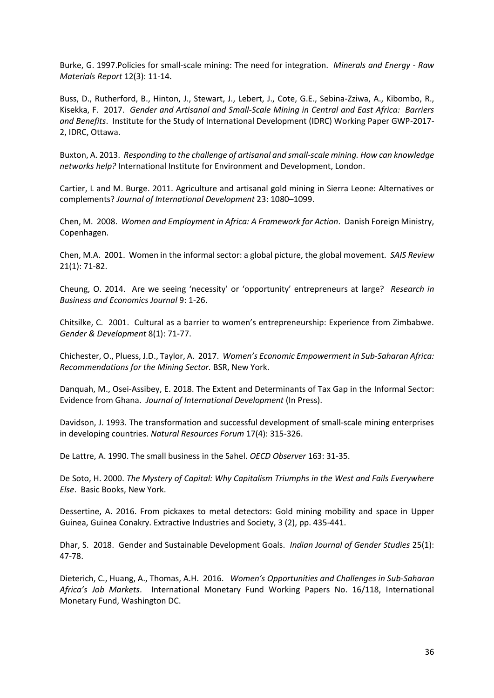Burke, G. 1997.Policies for small-scale mining: The need for integration. *Minerals and Energy - Raw Materials Report* 12(3): 11-14.

Buss, D., Rutherford, B., Hinton, J., Stewart, J., Lebert, J., Cote, G.E., Sebina-Zziwa, A., Kibombo, R., Kisekka, F. 2017. *Gender and Artisanal and Small-Scale Mining in Central and East Africa: Barriers and Benefits*. Institute for the Study of International Development (IDRC) Working Paper GWP-2017- 2, IDRC, Ottawa.

Buxton, A. 2013. *Responding to the challenge of artisanal and small-scale mining. How can knowledge networks help?* International Institute for Environment and Development, London.

Cartier, L and M. Burge. 2011. Agriculture and artisanal gold mining in Sierra Leone: Alternatives or complements? *Journal of International Development* 23: 1080–1099.

Chen, M. 2008. *Women and Employment in Africa: A Framework for Action*. Danish Foreign Ministry, Copenhagen.

Chen, M.A. 2001. Women in the informal sector: a global picture, the global movement. *SAIS Review* 21(1): 71-82.

Cheung, O. 2014. Are we seeing 'necessity' or 'opportunity' entrepreneurs at large? *Research in Business and Economics Journal* 9: 1-26.

Chitsilke, C. 2001. Cultural as a barrier to women's entrepreneurship: Experience from Zimbabwe. *Gender & Development* 8(1): 71-77.

Chichester, O., Pluess, J.D., Taylor, A. 2017. *Women's Economic Empowerment in Sub-Saharan Africa: Recommendations for the Mining Sector.* BSR, New York.

Danquah, M., Osei-Assibey, E. 2018. The Extent and Determinants of Tax Gap in the Informal Sector: Evidence from Ghana. *Journal of International Development* (In Press).

Davidson, J. 1993. The transformation and successful development of small-scale mining enterprises in developing countries. *Natural Resources Forum* 17(4): 315-326.

De Lattre, A. 1990. The small business in the Sahel. *OECD Observer* 163: 31-35.

De Soto, H. 2000. *The Mystery of Capital: Why Capitalism Triumphs in the West and Fails Everywhere Else*. Basic Books, New York.

Dessertine, A. 2016. From pickaxes to metal detectors: Gold mining mobility and space in Upper Guinea, Guinea Conakry. Extractive Industries and Society, 3 (2), pp. 435-441.

Dhar, S. 2018. Gender and Sustainable Development Goals. *Indian Journal of Gender Studies* 25(1): 47-78.

Dieterich, C., Huang, A., Thomas, A.H. 2016. *Women's Opportunities and Challenges in Sub-Saharan Africa's Job Markets*. International Monetary Fund Working Papers No. 16/118, International Monetary Fund, Washington DC.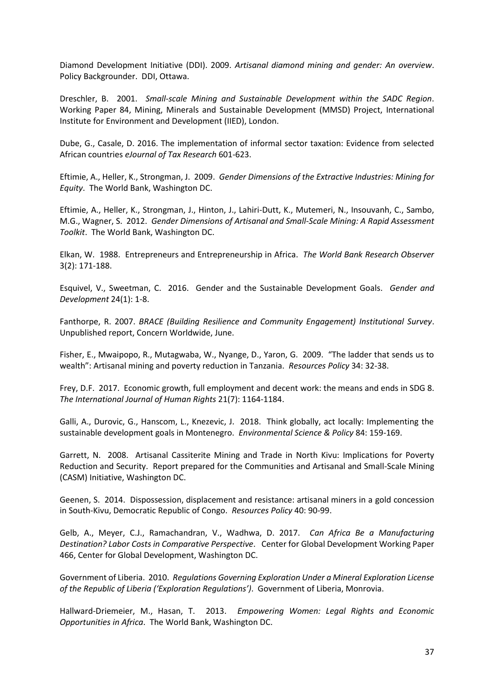Diamond Development Initiative (DDI). 2009. *Artisanal diamond mining and gender: An overview*. Policy Backgrounder. DDI, Ottawa.

Dreschler, B. 2001. *Small-scale Mining and Sustainable Development within the SADC Region*. Working Paper 84, Mining, Minerals and Sustainable Development (MMSD) Project, International Institute for Environment and Development (IIED), London.

Dube, G., Casale, D. 2016. The implementation of informal sector taxation: Evidence from selected African countries *eJournal of Tax Research* 601-623.

Eftimie, A., Heller, K., Strongman, J. 2009. *Gender Dimensions of the Extractive Industries: Mining for Equity*. The World Bank, Washington DC.

Eftimie, A., Heller, K., Strongman, J., Hinton, J., Lahiri-Dutt, K., Mutemeri, N., Insouvanh, C., Sambo, M.G., Wagner, S. 2012. *Gender Dimensions of Artisanal and Small-Scale Mining: A Rapid Assessment Toolkit*. The World Bank, Washington DC.

Elkan, W. 1988. Entrepreneurs and Entrepreneurship in Africa. *The World Bank Research Observer* 3(2): 171-188.

Esquivel, V., Sweetman, C. 2016. Gender and the Sustainable Development Goals. *Gender and Development* 24(1): 1-8.

Fanthorpe, R. 2007. *BRACE (Building Resilience and Community Engagement) Institutional Survey*. Unpublished report, Concern Worldwide, June.

Fisher, E., Mwaipopo, R., Mutagwaba, W., Nyange, D., Yaron, G. 2009. "The ladder that sends us to wealth": Artisanal mining and poverty reduction in Tanzania. *Resources Policy* 34: 32-38.

Frey, D.F. 2017. Economic growth, full employment and decent work: the means and ends in SDG 8. *The International Journal of Human Rights* 21(7): 1164-1184.

Galli, A., Durovic, G., Hanscom, L., Knezevic, J. 2018. Think globally, act locally: Implementing the sustainable development goals in Montenegro. *Environmental Science & Policy* 84: 159-169.

Garrett, N. 2008. Artisanal Cassiterite Mining and Trade in North Kivu: Implications for Poverty Reduction and Security. Report prepared for the Communities and Artisanal and Small-Scale Mining (CASM) Initiative, Washington DC.

Geenen, S. 2014. Dispossession, displacement and resistance: artisanal miners in a gold concession in South-Kivu, Democratic Republic of Congo. *Resources Policy* 40: 90-99.

Gelb, A., Meyer, C.J., Ramachandran, V., Wadhwa, D. 2017. *Can Africa Be a Manufacturing Destination? Labor Costs in Comparative Perspective*. Center for Global Development Working Paper 466, Center for Global Development, Washington DC.

Government of Liberia. 2010. *Regulations Governing Exploration Under a Mineral Exploration License of the Republic of Liberia ('Exploration Regulations')*. Government of Liberia, Monrovia.

Hallward-Driemeier, M., Hasan, T. 2013. *Empowering Women: Legal Rights and Economic Opportunities in Africa*. The World Bank, Washington DC.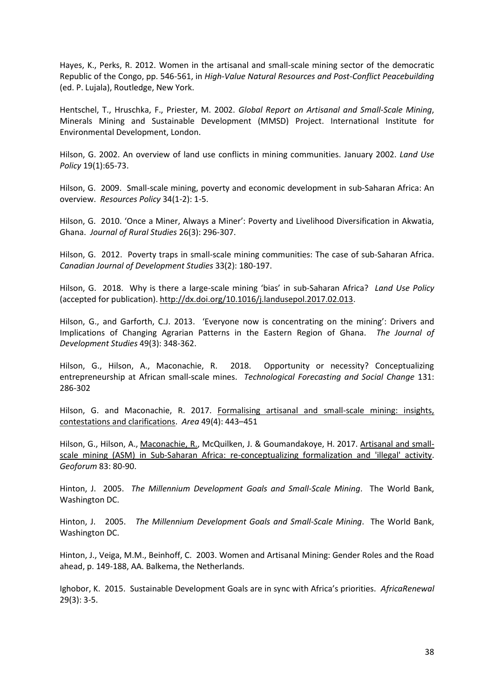Hayes, K., Perks, R. 2012. Women in the artisanal and small-scale mining sector of the democratic Republic of the Congo, pp. 546-561, in *High-Value Natural Resources and Post-Conflict Peacebuilding* (ed. P. Lujala), Routledge, New York.

Hentschel, T., Hruschka, F., Priester, M. 2002. *Global Report on Artisanal and Small-Scale Mining*, Minerals Mining and Sustainable Development (MMSD) Project. International Institute for Environmental Development, London.

Hilson, G. 2002. An overview of land use conflicts in mining communities. January 2002. *Land Use Policy* 19(1):65-73.

Hilson, G. 2009. Small-scale mining, poverty and economic development in sub-Saharan Africa: An overview. *Resources Policy* 34(1-2): 1-5.

Hilson, G. 2010. 'Once a Miner, Always a Miner': Poverty and Livelihood Diversification in Akwatia, Ghana. *Journal of Rural Studies* 26(3): 296-307.

Hilson, G. 2012. Poverty traps in small-scale mining communities: The case of sub-Saharan Africa. *Canadian Journal of Development Studies* 33(2): 180-197.

Hilson, G. 2018. Why is there a large-scale mining 'bias' in sub-Saharan Africa? *Land Use Policy* (accepted for publication). [http://dx.doi.org/10.1016/j.landusepol.2017.02.013.](http://dx.doi.org/10.1016/j.landusepol.2017.02.013)

Hilson, G., and Garforth, C.J. 2013. 'Everyone now is concentrating on the mining': Drivers and Implications of Changing Agrarian Patterns in the Eastern Region of Ghana. *The Journal of Development Studies* 49(3): 348-362.

Hilson, G., Hilson, A., Maconachie, R. 2018. Opportunity or necessity? Conceptualizing entrepreneurship at African small-scale mines. *Technological Forecasting and Social Change* 131: 286-302

Hilson, G. and Maconachie, R. 2017. [Formalising artisanal and small-scale mining: insights,](https://researchportal.bath.ac.uk/en/publications/formalising-artisanal-and-small-scale-mining-insights-contestatio-2)  [contestations and clarifications.](https://researchportal.bath.ac.uk/en/publications/formalising-artisanal-and-small-scale-mining-insights-contestatio-2) *Area* 49(4): 443–451

Hilson, G., Hilson, A., [Maconachie, R.,](https://researchportal.bath.ac.uk/en/persons/roy-maconachie) McQuilken, J. & Goumandakoye, H. 2017. [Artisanal and small](https://researchportal.bath.ac.uk/en/publications/artisanal-and-small-scale-mining-asm-in-sub-saharan-africa-re-con)[scale mining \(ASM\) in Sub-Saharan Africa: re-conceptualizing formalization and 'illegal' activity.](https://researchportal.bath.ac.uk/en/publications/artisanal-and-small-scale-mining-asm-in-sub-saharan-africa-re-con) *Geoforum* 83: 80-90.

Hinton, J. 2005. *The Millennium Development Goals and Small-Scale Mining*. The World Bank, Washington DC.

Hinton, J. 2005. *The Millennium Development Goals and Small-Scale Mining*. The World Bank, Washington DC.

Hinton, J., Veiga, M.M., Beinhoff, C. 2003. Women and Artisanal Mining: Gender Roles and the Road ahead, p. 149-188, AA. Balkema, the Netherlands.

Ighobor, K. 2015. Sustainable Development Goals are in sync with Africa's priorities. *AfricaRenewal*  29(3): 3-5.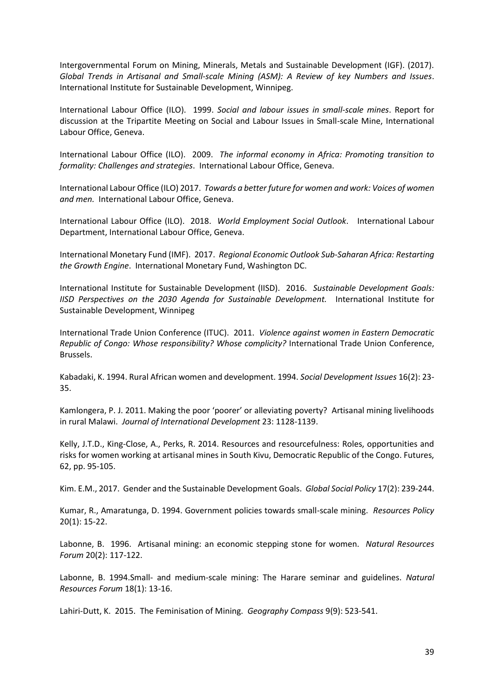Intergovernmental Forum on Mining, Minerals, Metals and Sustainable Development (IGF). (2017). *Global Trends in Artisanal and Small-scale Mining (ASM): A Review of key Numbers and Issues*. International Institute for Sustainable Development, Winnipeg.

International Labour Office (ILO). 1999. *Social and labour issues in small-scale mines*. Report for discussion at the Tripartite Meeting on Social and Labour Issues in Small-scale Mine, International Labour Office, Geneva.

International Labour Office (ILO). 2009. *The informal economy in Africa: Promoting transition to formality: Challenges and strategies*. International Labour Office, Geneva.

International Labour Office (ILO) 2017. *Towards a better future for women and work: Voices of women and men.* International Labour Office, Geneva.

International Labour Office (ILO). 2018. *World Employment Social Outlook*. International Labour Department, International Labour Office, Geneva.

International Monetary Fund (IMF). 2017. *Regional Economic Outlook Sub-Saharan Africa: Restarting the Growth Engine*. International Monetary Fund, Washington DC.

International Institute for Sustainable Development (IISD). 2016. *Sustainable Development Goals: IISD Perspectives on the 2030 Agenda for Sustainable Development.* International Institute for Sustainable Development, Winnipeg

International Trade Union Conference (ITUC). 2011. *Violence against women in Eastern Democratic Republic of Congo: Whose responsibility? Whose complicity?* International Trade Union Conference, Brussels.

Kabadaki, K. 1994. Rural African women and development. 1994. *Social Development Issues* 16(2): 23- 35.

Kamlongera, P. J. 2011. Making the poor 'poorer' or alleviating poverty? Artisanal mining livelihoods in rural Malawi. *Journal of International Development* 23: 1128-1139.

Kelly, J.T.D., King-Close, A., Perks, R. 2014. Resources and resourcefulness: Roles, opportunities and risks for women working at artisanal mines in South Kivu, Democratic Republic of the Congo. Futures, 62, pp. 95-105.

Kim. E.M., 2017. Gender and the Sustainable Development Goals. *Global Social Policy* 17(2): 239-244.

Kumar, R., Amaratunga, D. 1994. Government policies towards small-scale mining. *Resources Policy* 20(1): 15-22.

Labonne, B. 1996. Artisanal mining: an economic stepping stone for women. *Natural Resources Forum* 20(2): 117-122.

Labonne, B. 1994.Small‐ and medium‐scale mining: The Harare seminar and guidelines. *Natural Resources Forum* 18(1): 13-16.

Lahiri-Dutt, K. 2015. The Feminisation of Mining. *Geography Compass* 9(9): 523-541.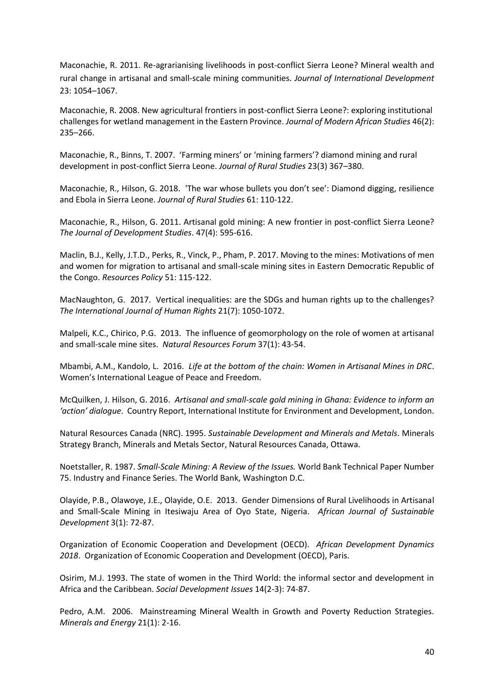Maconachie, R. 2011. Re-agrarianising livelihoods in post-conflict Sierra Leone? Mineral wealth and rural change in artisanal and small-scale mining communities. *Journal of International Development* 23: 1054–1067.

Maconachie, R. 2008. New agricultural frontiers in post-conflict Sierra Leone?: exploring institutional challenges for wetland management in the Eastern Province. *Journal of Modern African Studies* 46(2): 235–266.

Maconachie, R., Binns, T. 2007. 'Farming miners' or 'mining farmers'? diamond mining and rural development in post-conflict Sierra Leone. *Journal of Rural Studies* 23(3) 367–380.

Maconachie, R., Hilson, G. 2018. ['The war whose bullets you don't see': Diamond digging, resilience](https://researchportal.bath.ac.uk/en/publications/the-war-whose-bullets-you-dont-see-diamond-digging-resilience-and)  [and Ebola in Sierra Leone.](https://researchportal.bath.ac.uk/en/publications/the-war-whose-bullets-you-dont-see-diamond-digging-resilience-and) *[Journal of Rural Studies](https://researchportal.bath.ac.uk/en/persons/roy-maconachie)* 61: 110-122.

Maconachie, R., Hilson, G. 2011. Artisanal gold mining: A new frontier in post-conflict Sierra Leone? *The Journal of Development Studies*. 47(4): 595-616.

Maclin, B.J., Kelly, J.T.D., Perks, R., Vinck, P., Pham, P. 2017. Moving to the mines: Motivations of men and women for migration to artisanal and small-scale mining sites in Eastern Democratic Republic of the Congo. *Resources Policy* 51: 115-122.

MacNaughton, G. 2017. Vertical inequalities: are the SDGs and human rights up to the challenges? *The International Journal of Human Rights* 21(7): 1050-1072.

Malpeli, K.C., Chirico, P.G. 2013. The influence of geomorphology on the role of women at artisanal and small-scale mine sites. *Natural Resources Forum* 37(1): 43-54.

Mbambi, A.M., Kandolo, L. 2016. *Life at the bottom of the chain: Women in Artisanal Mines in DRC*. Women's International League of Peace and Freedom.

McQuilken, J. Hilson, G. 2016. *Artisanal and small-scale gold mining in Ghana: Evidence to inform an 'action' dialogue*. Country Report, International Institute for Environment and Development, London.

Natural Resources Canada (NRC). 1995. *Sustainable Development and Minerals and Metals*. Minerals Strategy Branch, Minerals and Metals Sector, Natural Resources Canada, Ottawa.

Noetstaller, R. 1987. *Small-Scale Mining: A Review of the Issues.* World Bank Technical Paper Number 75. Industry and Finance Series. The World Bank, Washington D.C.

Olayide, P.B., Olawoye, J.E., Olayide, O.E. 2013. Gender Dimensions of Rural Livelihoods in Artisanal and Small-Scale Mining in Itesiwaju Area of Oyo State, Nigeria. *African Journal of Sustainable Development* 3(1): 72-87.

Organization of Economic Cooperation and Development (OECD). *African Development Dynamics 2018*. Organization of Economic Cooperation and Development (OECD), Paris.

Osirim, M.J. 1993. The state of women in the Third World: the informal sector and development in Africa and the Caribbean. *Social Development Issues* 14(2-3): 74-87.

Pedro, A.M. 2006. Mainstreaming Mineral Wealth in Growth and Poverty Reduction Strategies. *Minerals and Energy* 21(1): 2-16.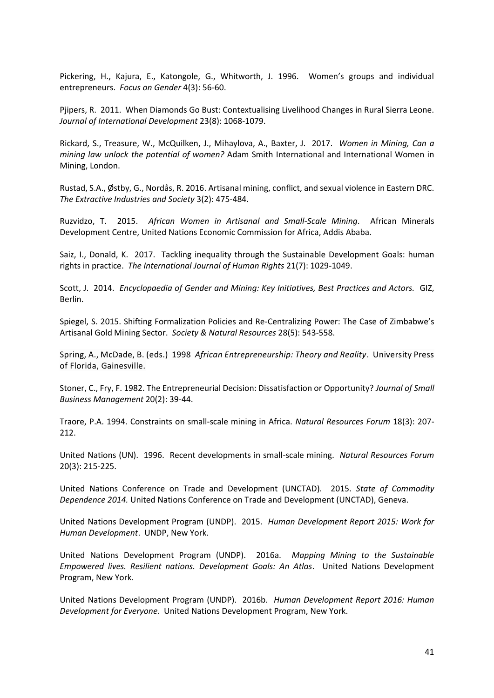Pickering, H., Kajura, E., Katongole, G., Whitworth, J. 1996. Women's groups and individual entrepreneurs. *Focus on Gender* 4(3): 56-60.

Pjipers, R. 2011. When Diamonds Go Bust: Contextualising Livelihood Changes in Rural Sierra Leone. *Journal of International Development* 23(8): 1068-1079.

Rickard, S., Treasure, W., McQuilken, J., Mihaylova, A., Baxter, J. 2017. *Women in Mining, Can a mining law unlock the potential of women?* Adam Smith International and International Women in Mining, London.

Rustad, S.A., Østby, G., Nordås, R. 2016. Artisanal mining, conflict, and sexual violence in Eastern DRC. *The Extractive Industries and Society* 3(2): 475-484.

Ruzvidzo, T. 2015. *African Women in Artisanal and Small-Scale Mining*. African Minerals Development Centre, United Nations Economic Commission for Africa, Addis Ababa.

Saiz, I., Donald, K. 2017. Tackling inequality through the Sustainable Development Goals: human rights in practice. *The International Journal of Human Rights* 21(7): 1029-1049.

Scott, J. 2014. *Encyclopaedia of Gender and Mining: Key Initiatives, Best Practices and Actors.* GIZ, Berlin.

Spiegel, S. 2015. Shifting Formalization Policies and Re-Centralizing Power: The Case of Zimbabwe's Artisanal Gold Mining Sector. *Society & Natural Resources* 28(5): 543-558.

Spring, A., McDade, B. (eds.) 1998 *African Entrepreneurship: Theory and Reality*. University Press of Florida, Gainesville.

Stoner, C., Fry, F. 1982. The Entrepreneurial Decision: Dissatisfaction or Opportunity? *Journal of Small Business Management* 20(2): 39-44.

Traore, P.A. 1994. Constraints on small‐scale mining in Africa. *Natural Resources Forum* 18(3): 207- 212.

United Nations (UN). 1996. Recent developments in small-scale mining. *Natural Resources Forum*  20(3): 215-225.

United Nations Conference on Trade and Development (UNCTAD). 2015. *State of Commodity Dependence 2014.* United Nations Conference on Trade and Development (UNCTAD), Geneva.

United Nations Development Program (UNDP). 2015. *Human Development Report 2015: Work for Human Development*. UNDP, New York.

United Nations Development Program (UNDP). 2016a. *Mapping Mining to the Sustainable Empowered lives. Resilient nations. Development Goals: An Atlas*. United Nations Development Program, New York.

United Nations Development Program (UNDP). 2016b. *Human Development Report 2016: Human Development for Everyone*. United Nations Development Program, New York.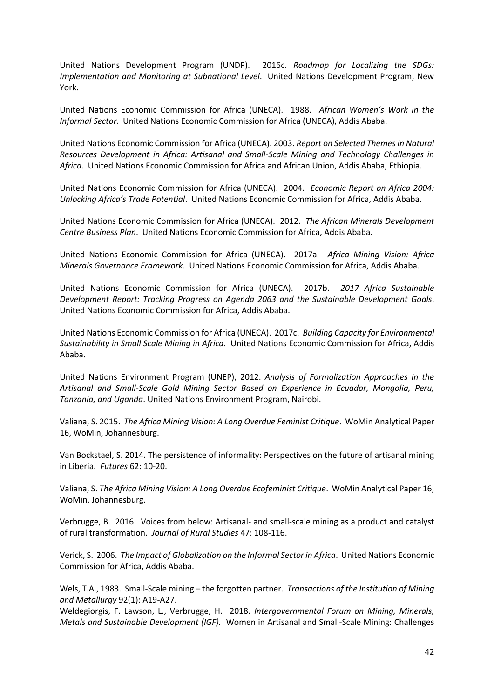United Nations Development Program (UNDP). 2016c. *Roadmap for Localizing the SDGs: Implementation and Monitoring at Subnational Level*. United Nations Development Program, New York.

United Nations Economic Commission for Africa (UNECA). 1988. *African Women's Work in the Informal Sector*. United Nations Economic Commission for Africa (UNECA), Addis Ababa.

United Nations Economic Commission for Africa (UNECA). 2003. *Report on Selected Themes in Natural Resources Development in Africa: Artisanal and Small-Scale Mining and Technology Challenges in Africa*. United Nations Economic Commission for Africa and African Union, Addis Ababa, Ethiopia.

United Nations Economic Commission for Africa (UNECA). 2004. *Economic Report on Africa 2004: Unlocking Africa's Trade Potential*. United Nations Economic Commission for Africa, Addis Ababa.

United Nations Economic Commission for Africa (UNECA). 2012. *The African Minerals Development Centre Business Plan*. United Nations Economic Commission for Africa, Addis Ababa.

United Nations Economic Commission for Africa (UNECA). 2017a. *Africa Mining Vision: Africa Minerals Governance Framework*. United Nations Economic Commission for Africa, Addis Ababa.

United Nations Economic Commission for Africa (UNECA). 2017b. *2017 Africa Sustainable Development Report: Tracking Progress on Agenda 2063 and the Sustainable Development Goals*. United Nations Economic Commission for Africa, Addis Ababa.

United Nations Economic Commission for Africa (UNECA). 2017c. *Building Capacity for Environmental Sustainability in Small Scale Mining in Africa*. United Nations Economic Commission for Africa, Addis Ababa.

United Nations Environment Program (UNEP), 2012. *Analysis of Formalization Approaches in the Artisanal and Small-Scale Gold Mining Sector Based on Experience in Ecuador, Mongolia, Peru, Tanzania, and Uganda*. United Nations Environment Program, Nairobi.

Valiana, S. 2015. *The Africa Mining Vision: A Long Overdue Feminist Critique*. WoMin Analytical Paper 16, WoMin, Johannesburg.

Van Bockstael, S. 2014. The persistence of informality: Perspectives on the future of artisanal mining in Liberia. *Futures* 62: 10-20.

Valiana, S. *The Africa Mining Vision: A Long Overdue Ecofeminist Critique*. WoMin Analytical Paper 16, WoMin, Johannesburg.

Verbrugge, B. 2016. Voices from below: Artisanal- and small-scale mining as a product and catalyst of rural transformation. *Journal of Rural Studies* 47: 108-116.

Verick, S. 2006. *The Impact of Globalization on the Informal Sector in Africa*. United Nations Economic Commission for Africa, Addis Ababa.

Wels, T.A., 1983. Small-Scale mining – the forgotten partner. *Transactions of the Institution of Mining and Metallurgy* 92(1): A19-A27.

Weldegiorgis, F. Lawson, L., Verbrugge, H. 2018. *Intergovernmental Forum on Mining, Minerals, Metals and Sustainable Development (IGF).* Women in Artisanal and Small-Scale Mining: Challenges